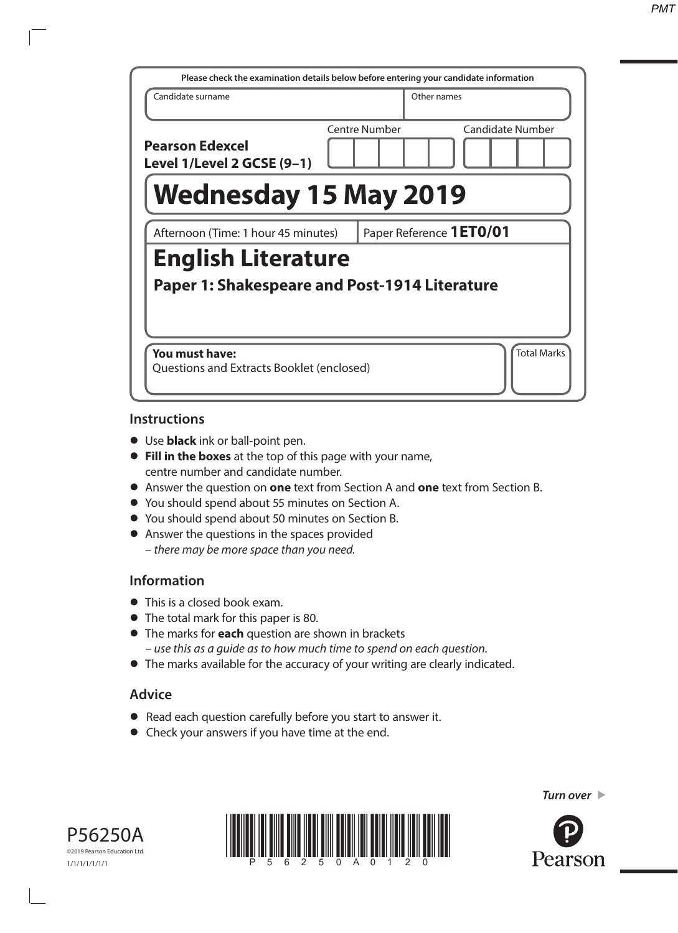| Please check the examination details below before entering your candidate information |               |                         |
|---------------------------------------------------------------------------------------|---------------|-------------------------|
| Candidate surname                                                                     |               | Other names             |
| <b>Pearson Edexcel</b><br>Level 1/Level 2 GCSE (9-1)                                  | Centre Number | Candidate Number        |
| <b>Wednesday 15 May 2019</b>                                                          |               |                         |
| Afternoon (Time: 1 hour 45 minutes)                                                   |               | Paper Reference 1ET0/01 |
| <b>English Literature</b><br>Paper 1: Shakespeare and Post-1914 Literature            |               |                         |
|                                                                                       |               |                         |

## **Instructions**

- **•** Use **black** ink or ball-point pen.
- **• Fill in the boxes** at the top of this page with your name, centre number and candidate number.
- **•** Answer the question on **one** text from Section A and **one** text from Section B.
- **•** You should spend about 55 minutes on Section A.
- **•** You should spend about 50 minutes on Section B.
- **•** Answer the questions in the spaces provided *– there may be more space than you need.*

## **Information**

- **•** This is a closed book exam.
- **•** The total mark for this paper is 80.
- **•** The marks for **each** question are shown in brackets *– use this as a guide as to how much time to spend on each question.*
- **•** The marks available for the accuracy of your writing are clearly indicated.

## **Advice**

- **•** Read each question carefully before you start to answer it.
- **•** Check your answers if you have time at the end.





*Turn over* 

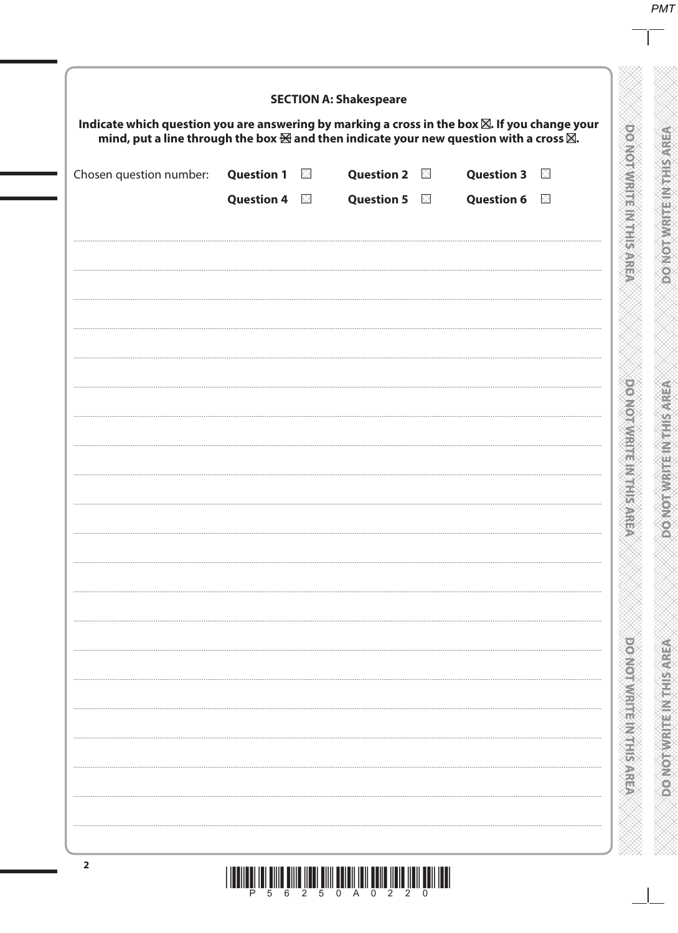| Indicate which question you are answering by marking a cross in the box $\boxtimes$ . If you change your<br>mind, put a line through the box $\boxtimes$ and then indicate your new question with a cross $\boxtimes$ . |                   |            |            | $\begin{pmatrix} 0 \\ 0 \\ 0 \end{pmatrix}$ |                                               |
|-------------------------------------------------------------------------------------------------------------------------------------------------------------------------------------------------------------------------|-------------------|------------|------------|---------------------------------------------|-----------------------------------------------|
| Chosen question number: <b>Question 1</b>                                                                                                                                                                               |                   | Question 2 | Question 3 |                                             |                                               |
|                                                                                                                                                                                                                         | <b>Question 4</b> | Question 5 | Question 6 |                                             | <b>RESERVE EN EN EN EN DESERVED</b>           |
|                                                                                                                                                                                                                         |                   |            |            | $\frac{1}{2}$                               | <b>HRANGE</b><br><b>Alisana</b><br><b>NO.</b> |
|                                                                                                                                                                                                                         |                   |            |            | <b>START REPORTS</b>                        | <b>PORTO RUSSIA EN EN ENTRE DE</b>            |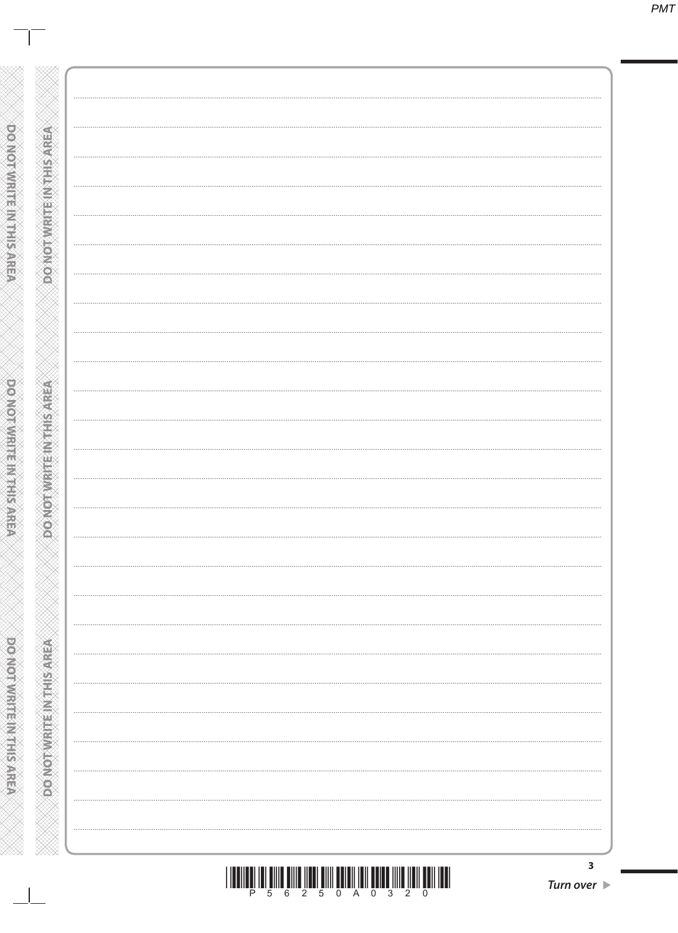| <b>POINOT WRITER IN THIS WRITER</b><br> |   |
|-----------------------------------------|---|
| これには<br>                                |   |
|                                         |   |
|                                         |   |
|                                         | . |

DO NOT WRITE IN THIS AREA

**DOOMORUTEIM THIS AREA** 

**DO NOT WRITE IN THIS AREA**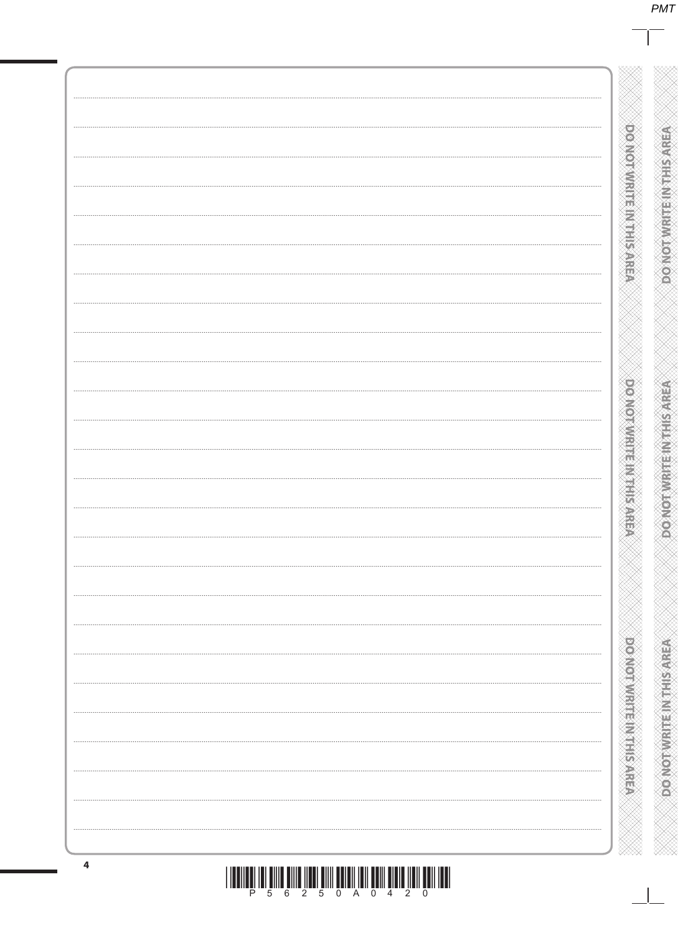| <u> IT DIE DIE DIE DIE BIJ DIE BEWERE DIE DIE BIJ DIE BIJ DIE BIJ DIE DIE BIJ DIE BIJ DIE BIJ DIE BIJ DIE BIJ DIE</u> |  |  |  |  |  |  |
|-----------------------------------------------------------------------------------------------------------------------|--|--|--|--|--|--|
| P 5 6 2 5 0 A 0 4 2 0                                                                                                 |  |  |  |  |  |  |

| .                       |
|-------------------------|
|                         |
| $\frac{2}{3}$           |
|                         |
|                         |
|                         |
|                         |
| .                       |
|                         |
|                         |
|                         |
|                         |
|                         |
| .                       |
|                         |
|                         |
| <b>MOIS STATES</b><br>. |
|                         |
| ei<br>S                 |
|                         |
| .                       |
|                         |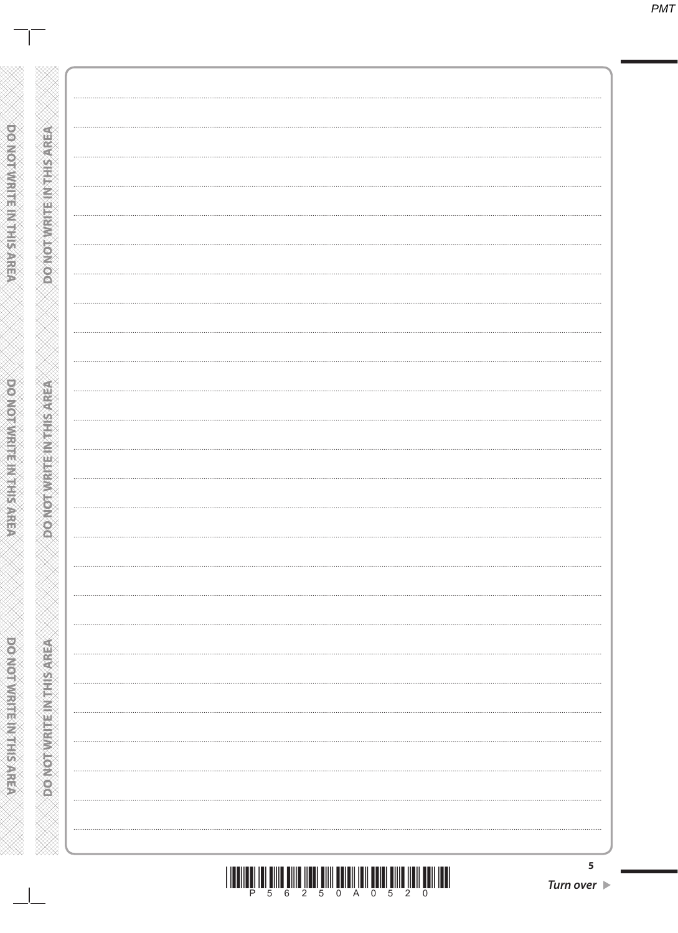| <br><br><br> |   |
|--------------|---|
|              |   |
|              |   |
|              |   |
|              |   |
|              | . |

DO NOT WRITE IN THIS AREA

**DOOMORUTEIM THIS AREA** 

**DO NOT WRITE IN THIS AREA**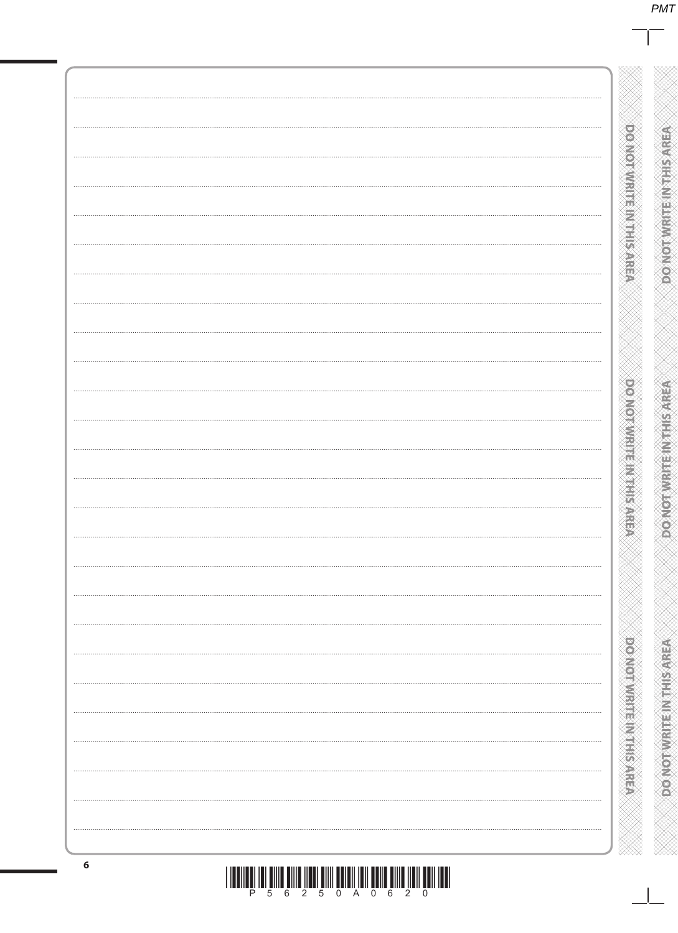|  |  |  | <u> ITIN TILLIN TIN TIN TILLIN TIN TIN TIN TIN TIN TIN TIN TIN ITI</u> |  |  |  |
|--|--|--|------------------------------------------------------------------------|--|--|--|
|  |  |  | P 5 6 2 5 0 A 0 6 2 0                                                  |  |  |  |

|   | <b>Monday Engineer</b> |  |
|---|------------------------|--|
| . | C)<br>C)<br>C)         |  |
|   |                        |  |
|   |                        |  |
|   |                        |  |
| . |                        |  |
| . | $\tilde{e}$            |  |
|   |                        |  |
|   | ž                      |  |
|   |                        |  |
|   |                        |  |
|   |                        |  |
|   |                        |  |
|   |                        |  |
|   |                        |  |
|   |                        |  |
|   |                        |  |
|   |                        |  |
| . | <b>NOTWARD MELTING</b> |  |
|   |                        |  |
|   |                        |  |
| 6 |                        |  |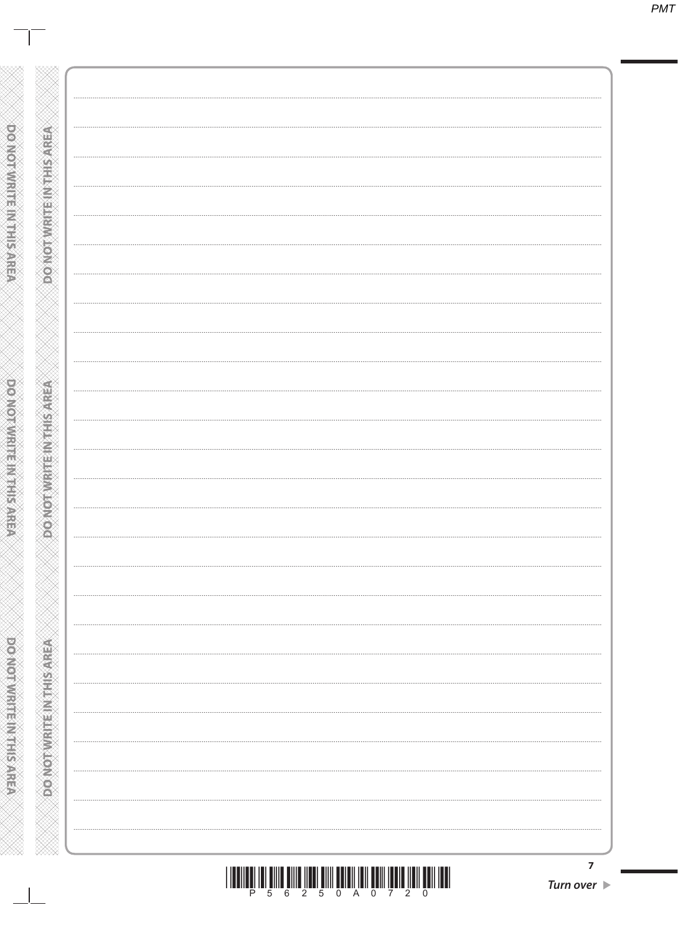DONOTWRITEINTHISAREA

**DOOMORAHEMENTSKER** 

**DOOMOTIVIRIUS MARINES AREA**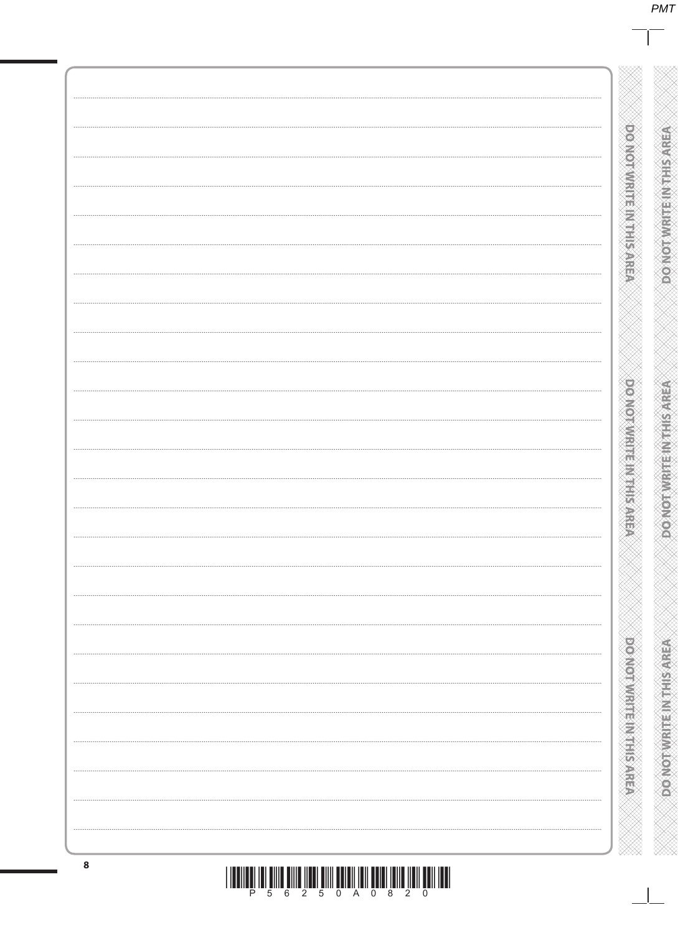| <u> ITIN TILLIN TIN TIN TILLIN TIN TIN TIN TIN TIN TIN TIN TIN TIN</u> |  |  |  |                       |  |  |  |
|------------------------------------------------------------------------|--|--|--|-----------------------|--|--|--|
|                                                                        |  |  |  | P 5 6 2 5 0 A 0 8 2 0 |  |  |  |

| .                           |
|-----------------------------|
|                             |
|                             |
| Ž<br>                       |
| el<br>M                     |
| i.<br>K                     |
|                             |
|                             |
|                             |
|                             |
|                             |
|                             |
| .                           |
| öΰ                          |
| <br>ž                       |
|                             |
|                             |
|                             |
|                             |
|                             |
|                             |
|                             |
|                             |
|                             |
| <b>NORWAY CONTROL STATE</b> |
|                             |
|                             |
|                             |
|                             |
|                             |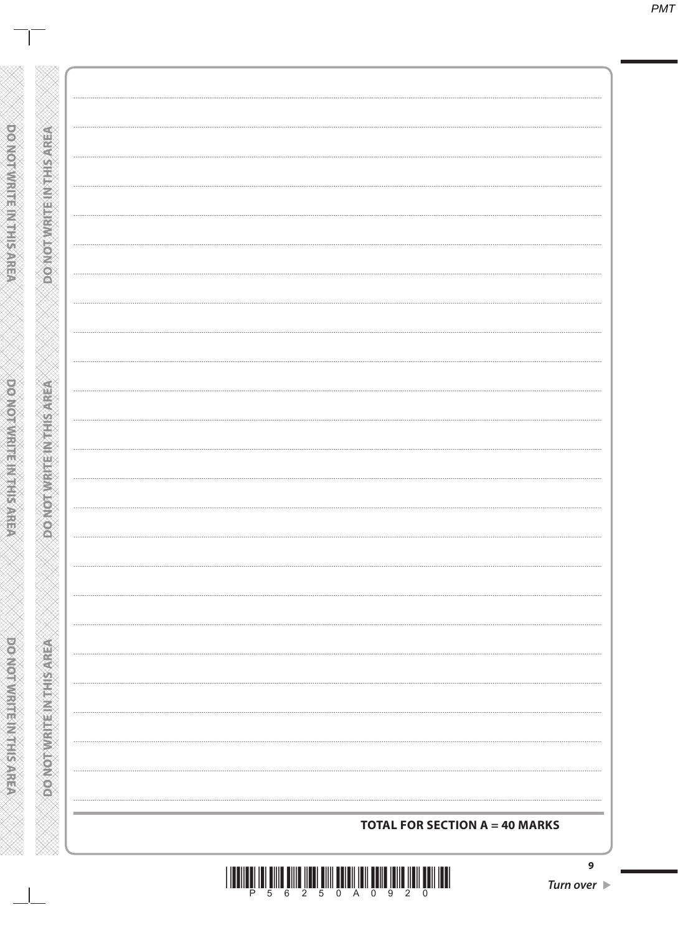| <br> |  |
|------|--|
|      |  |
|      |  |
|      |  |
|      |  |
|      |  |
|      |  |
|      |  |
|      |  |
|      |  |
|      |  |
|      |  |
|      |  |
|      |  |
|      |  |

DO NOT WRITE IN THIS AREA

**DOMOTVINE IN THIS AREA** 

**DOMOTWRITEINITHS AREA**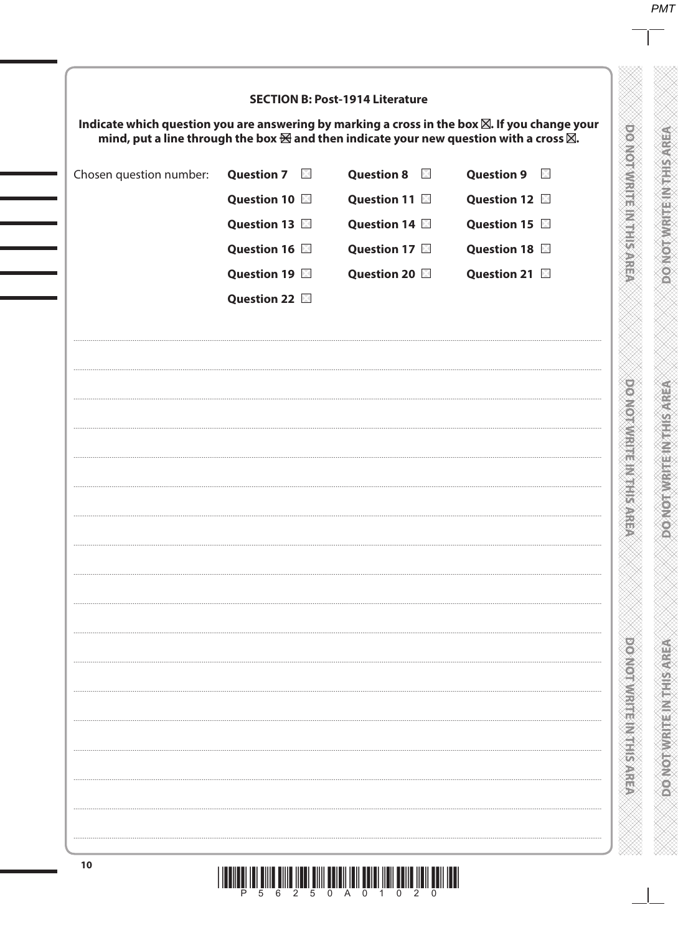|                         |             | <b>SECTION B: Post-1914 Literature</b> |                                                                                                                                                                                                                         |                               |
|-------------------------|-------------|----------------------------------------|-------------------------------------------------------------------------------------------------------------------------------------------------------------------------------------------------------------------------|-------------------------------|
|                         |             |                                        | Indicate which question you are answering by marking a cross in the box $\boxtimes$ . If you change your<br>mind, put a line through the box $\boxtimes$ and then indicate your new question with a cross $\boxtimes$ . |                               |
| Chosen question number: | Question 7  | Question 8                             | <b>Question 9</b><br>$\times$                                                                                                                                                                                           | ponoi mantematicane           |
|                         | Question 10 | Question 11                            | Question 12                                                                                                                                                                                                             |                               |
|                         | Question 13 | Question 14                            | Question 15                                                                                                                                                                                                             |                               |
|                         | Question 16 | Question 17                            | Question 18                                                                                                                                                                                                             |                               |
|                         | Question 19 | Question 20                            | Question 21                                                                                                                                                                                                             |                               |
|                         | Question 22 |                                        |                                                                                                                                                                                                                         |                               |
|                         |             |                                        |                                                                                                                                                                                                                         |                               |
|                         |             |                                        |                                                                                                                                                                                                                         |                               |
|                         |             |                                        |                                                                                                                                                                                                                         |                               |
|                         |             |                                        |                                                                                                                                                                                                                         | <b>CONGRESSMENT</b>           |
|                         |             |                                        |                                                                                                                                                                                                                         |                               |
|                         |             |                                        |                                                                                                                                                                                                                         |                               |
|                         |             |                                        |                                                                                                                                                                                                                         |                               |
|                         |             |                                        |                                                                                                                                                                                                                         |                               |
|                         |             |                                        |                                                                                                                                                                                                                         |                               |
|                         |             |                                        |                                                                                                                                                                                                                         |                               |
|                         |             |                                        |                                                                                                                                                                                                                         |                               |
|                         |             |                                        |                                                                                                                                                                                                                         |                               |
|                         |             |                                        |                                                                                                                                                                                                                         |                               |
|                         |             |                                        |                                                                                                                                                                                                                         | <b>Motor Washington State</b> |
|                         |             |                                        |                                                                                                                                                                                                                         |                               |
|                         |             |                                        |                                                                                                                                                                                                                         |                               |
|                         |             |                                        |                                                                                                                                                                                                                         |                               |
|                         |             |                                        |                                                                                                                                                                                                                         |                               |
|                         |             |                                        |                                                                                                                                                                                                                         |                               |
|                         |             |                                        |                                                                                                                                                                                                                         |                               |

 $\begin{array}{c} \text{if} \ \text{if} \ \text{if} \ \text{if} \ \text{if} \ \text{if} \ \text{if} \ \text{if} \ \text{if} \ \text{if} \ \text{if} \ \text{if} \ \text{if} \ \text{if} \ \text{if} \ \text{if} \ \text{if} \ \text{if} \ \text{if} \ \text{if} \ \text{if} \ \text{if} \ \text{if} \ \text{if} \ \text{if} \ \text{if} \ \text{if} \ \text{if} \ \text{if} \ \text{if} \ \text{if} \ \text{if} \ \text{if} \ \text{if} \ \text{if} \ \text{$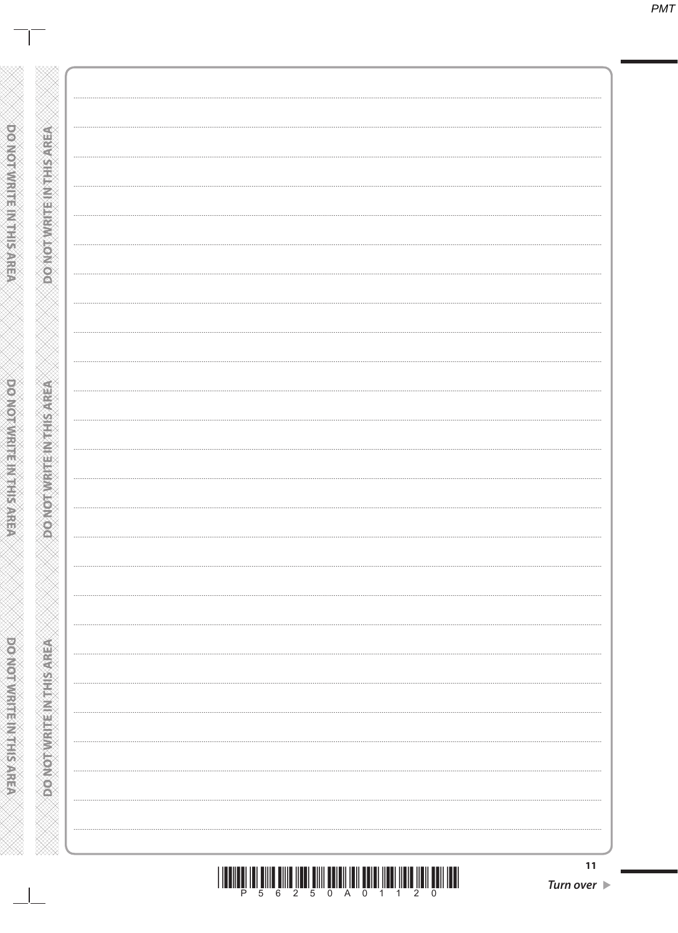| នី<br>ač | Ø, |
|----------|----|
| <br>     |    |
|          |    |
|          |    |
|          |    |
|          |    |
|          |    |
|          |    |
|          |    |

a ka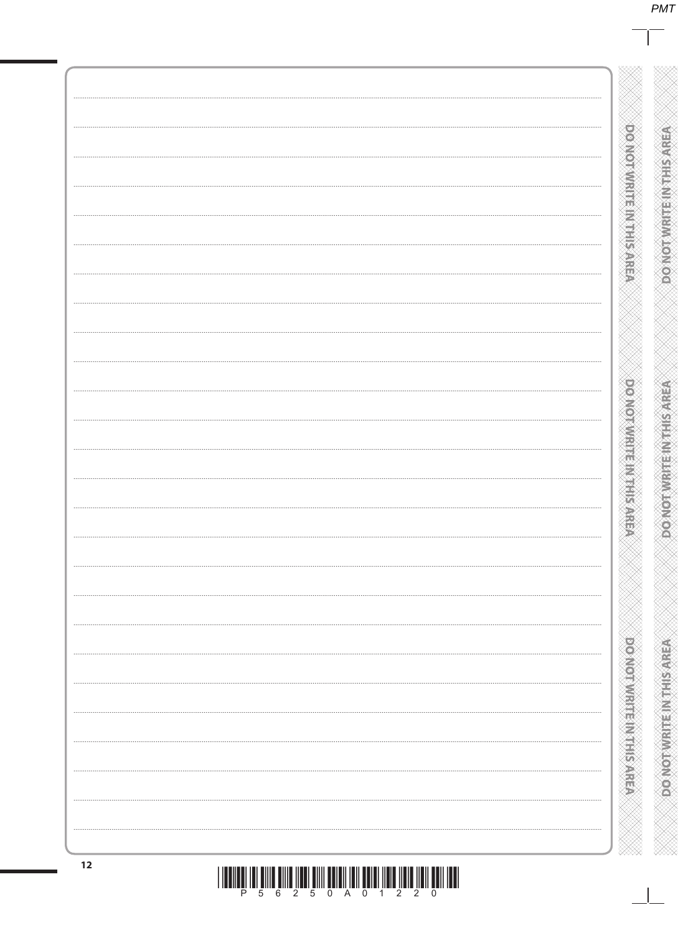| $\frac{1}{2}$                                                                                                                                                                                                                    |                                                           |
|----------------------------------------------------------------------------------------------------------------------------------------------------------------------------------------------------------------------------------|-----------------------------------------------------------|
|                                                                                                                                                                                                                                  |                                                           |
|                                                                                                                                                                                                                                  |                                                           |
| ý.<br>P                                                                                                                                                                                                                          |                                                           |
|                                                                                                                                                                                                                                  |                                                           |
| E.                                                                                                                                                                                                                               |                                                           |
|                                                                                                                                                                                                                                  |                                                           |
| $\overline{\phantom{a}}$<br>í                                                                                                                                                                                                    |                                                           |
|                                                                                                                                                                                                                                  |                                                           |
|                                                                                                                                                                                                                                  |                                                           |
| ć                                                                                                                                                                                                                                | Ş                                                         |
| REAL PROPERTY<br>$\otimes$                                                                                                                                                                                                       |                                                           |
|                                                                                                                                                                                                                                  |                                                           |
| 涨                                                                                                                                                                                                                                |                                                           |
|                                                                                                                                                                                                                                  |                                                           |
|                                                                                                                                                                                                                                  |                                                           |
| X)<br>X                                                                                                                                                                                                                          |                                                           |
| Î.                                                                                                                                                                                                                               |                                                           |
| ₩<br>Ÿ,                                                                                                                                                                                                                          |                                                           |
| ł                                                                                                                                                                                                                                |                                                           |
| $\mathbb{Z}_{\mathbb{Z}}$                                                                                                                                                                                                        |                                                           |
|                                                                                                                                                                                                                                  |                                                           |
|                                                                                                                                                                                                                                  |                                                           |
|                                                                                                                                                                                                                                  |                                                           |
|                                                                                                                                                                                                                                  |                                                           |
|                                                                                                                                                                                                                                  |                                                           |
|                                                                                                                                                                                                                                  |                                                           |
|                                                                                                                                                                                                                                  |                                                           |
|                                                                                                                                                                                                                                  |                                                           |
|                                                                                                                                                                                                                                  |                                                           |
|                                                                                                                                                                                                                                  |                                                           |
|                                                                                                                                                                                                                                  |                                                           |
|                                                                                                                                                                                                                                  |                                                           |
|                                                                                                                                                                                                                                  |                                                           |
|                                                                                                                                                                                                                                  |                                                           |
|                                                                                                                                                                                                                                  |                                                           |
|                                                                                                                                                                                                                                  |                                                           |
| a a contractor and contract of the contract of the contract of the contract of the contract of the contract of                                                                                                                   | <b>TEACH AND THE REAL PROPERTY AND THE REAL PROPERTY.</b> |
|                                                                                                                                                                                                                                  |                                                           |
|                                                                                                                                                                                                                                  |                                                           |
|                                                                                                                                                                                                                                  | \$)                                                       |
|                                                                                                                                                                                                                                  |                                                           |
|                                                                                                                                                                                                                                  |                                                           |
| .<br>Hik                                                                                                                                                                                                                         |                                                           |
|                                                                                                                                                                                                                                  |                                                           |
|                                                                                                                                                                                                                                  |                                                           |
|                                                                                                                                                                                                                                  |                                                           |
|                                                                                                                                                                                                                                  |                                                           |
|                                                                                                                                                                                                                                  |                                                           |
|                                                                                                                                                                                                                                  |                                                           |
| XQ)                                                                                                                                                                                                                              |                                                           |
|                                                                                                                                                                                                                                  |                                                           |
|                                                                                                                                                                                                                                  |                                                           |
|                                                                                                                                                                                                                                  |                                                           |
| <b>British</b>                                                                                                                                                                                                                   |                                                           |
|                                                                                                                                                                                                                                  |                                                           |
|                                                                                                                                                                                                                                  |                                                           |
|                                                                                                                                                                                                                                  |                                                           |
|                                                                                                                                                                                                                                  |                                                           |
| ₩                                                                                                                                                                                                                                |                                                           |
|                                                                                                                                                                                                                                  |                                                           |
| ≼<br>K)<br>K                                                                                                                                                                                                                     |                                                           |
|                                                                                                                                                                                                                                  |                                                           |
|                                                                                                                                                                                                                                  |                                                           |
|                                                                                                                                                                                                                                  |                                                           |
|                                                                                                                                                                                                                                  |                                                           |
|                                                                                                                                                                                                                                  |                                                           |
|                                                                                                                                                                                                                                  |                                                           |
|                                                                                                                                                                                                                                  |                                                           |
|                                                                                                                                                                                                                                  |                                                           |
|                                                                                                                                                                                                                                  |                                                           |
|                                                                                                                                                                                                                                  |                                                           |
|                                                                                                                                                                                                                                  |                                                           |
|                                                                                                                                                                                                                                  |                                                           |
|                                                                                                                                                                                                                                  |                                                           |
| Entrement                                                                                                                                                                                                                        |                                                           |
|                                                                                                                                                                                                                                  |                                                           |
|                                                                                                                                                                                                                                  |                                                           |
|                                                                                                                                                                                                                                  |                                                           |
|                                                                                                                                                                                                                                  |                                                           |
|                                                                                                                                                                                                                                  |                                                           |
|                                                                                                                                                                                                                                  | <b>FURNISHED AND ACT MODEL CONDUCTS</b>                   |
| en de la política de la concelho de la concelho de la concelho de la concelho de la concelho de la concelho de<br>La concelho de la concelho de la concelho de la concelho de la concelho de la concelho de la concelho de la co |                                                           |
|                                                                                                                                                                                                                                  |                                                           |
|                                                                                                                                                                                                                                  |                                                           |
|                                                                                                                                                                                                                                  |                                                           |
|                                                                                                                                                                                                                                  |                                                           |
|                                                                                                                                                                                                                                  |                                                           |
|                                                                                                                                                                                                                                  |                                                           |
|                                                                                                                                                                                                                                  |                                                           |
|                                                                                                                                                                                                                                  |                                                           |
|                                                                                                                                                                                                                                  | ì                                                         |
|                                                                                                                                                                                                                                  |                                                           |
|                                                                                                                                                                                                                                  |                                                           |
|                                                                                                                                                                                                                                  | îî<br>Ce                                                  |
|                                                                                                                                                                                                                                  |                                                           |
|                                                                                                                                                                                                                                  |                                                           |
|                                                                                                                                                                                                                                  | j                                                         |
|                                                                                                                                                                                                                                  |                                                           |
|                                                                                                                                                                                                                                  | è                                                         |
|                                                                                                                                                                                                                                  |                                                           |
| ¥                                                                                                                                                                                                                                |                                                           |
|                                                                                                                                                                                                                                  |                                                           |
|                                                                                                                                                                                                                                  |                                                           |
| Ы                                                                                                                                                                                                                                |                                                           |
|                                                                                                                                                                                                                                  |                                                           |
|                                                                                                                                                                                                                                  |                                                           |
|                                                                                                                                                                                                                                  |                                                           |
| 2                                                                                                                                                                                                                                |                                                           |
|                                                                                                                                                                                                                                  |                                                           |
| ₩                                                                                                                                                                                                                                |                                                           |
|                                                                                                                                                                                                                                  |                                                           |
| Q                                                                                                                                                                                                                                |                                                           |
|                                                                                                                                                                                                                                  |                                                           |
|                                                                                                                                                                                                                                  |                                                           |
| þ                                                                                                                                                                                                                                |                                                           |
| ŋ                                                                                                                                                                                                                                | ì                                                         |
|                                                                                                                                                                                                                                  |                                                           |
|                                                                                                                                                                                                                                  |                                                           |
|                                                                                                                                                                                                                                  |                                                           |
|                                                                                                                                                                                                                                  |                                                           |

#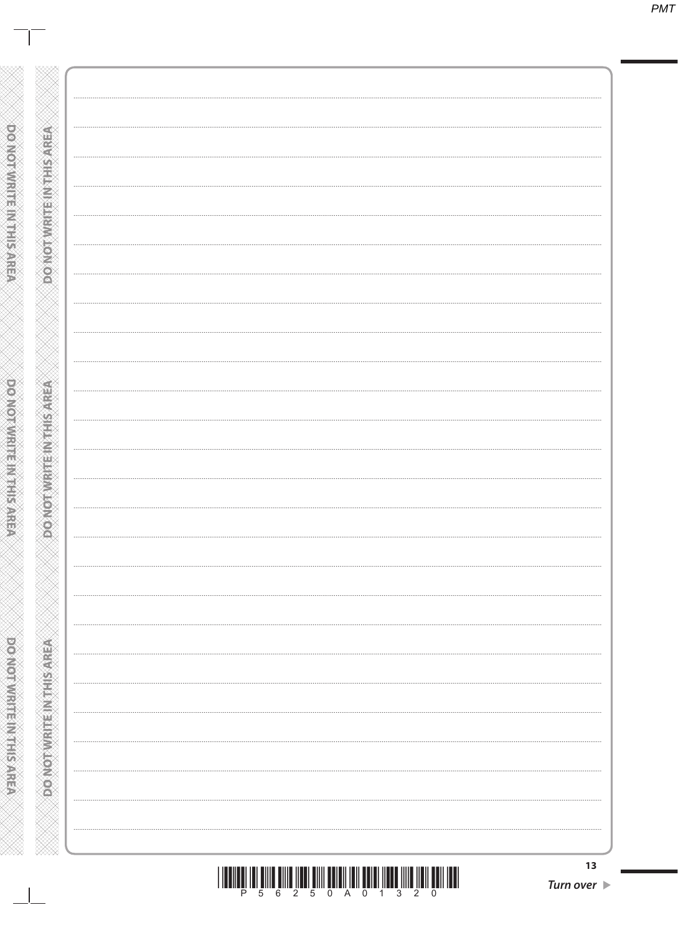| S            | 6Ď) |
|--------------|-----|
| <br><br><br> |     |
|              |     |
|              |     |
|              |     |
|              |     |
|              |     |
|              |     |
|              |     |

 $\sim 1$ 

 $\perp$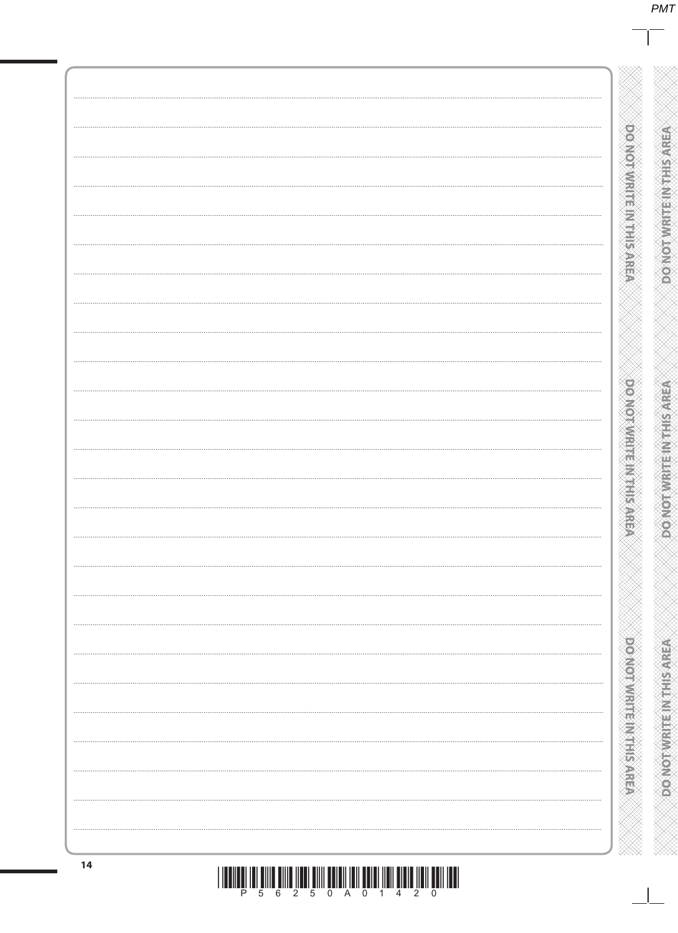| <u> I II dheer isaacaa saaraa isaacaa isaacaa isaacaa isaacaa isaacaa isaacaa isaacaa isaacaa isaacaa isaacaa isa</u> |  |  |  |                         |  |  |  |
|-----------------------------------------------------------------------------------------------------------------------|--|--|--|-------------------------|--|--|--|
|                                                                                                                       |  |  |  | P 5 6 2 5 0 A 0 1 4 2 0 |  |  |  |

|  | positoralitati al maritan           | <b>TERMINE HAVE IN THE CONGRES</b> |
|--|-------------------------------------|------------------------------------|
|  |                                     |                                    |
|  |                                     |                                    |
|  |                                     |                                    |
|  |                                     |                                    |
|  |                                     |                                    |
|  |                                     |                                    |
|  |                                     |                                    |
|  |                                     |                                    |
|  |                                     |                                    |
|  |                                     |                                    |
|  | <b>POSTORY CONSIDERATION</b>        |                                    |
|  | ¥                                   |                                    |
|  |                                     |                                    |
|  |                                     |                                    |
|  |                                     |                                    |
|  |                                     |                                    |
|  |                                     |                                    |
|  |                                     |                                    |
|  |                                     |                                    |
|  | positore with the matrix is a first | MELHAMALOMOO                       |
|  |                                     |                                    |
|  |                                     |                                    |
|  |                                     |                                    |

 $\overline{\phantom{a}}$  $\overline{\phantom{a}}$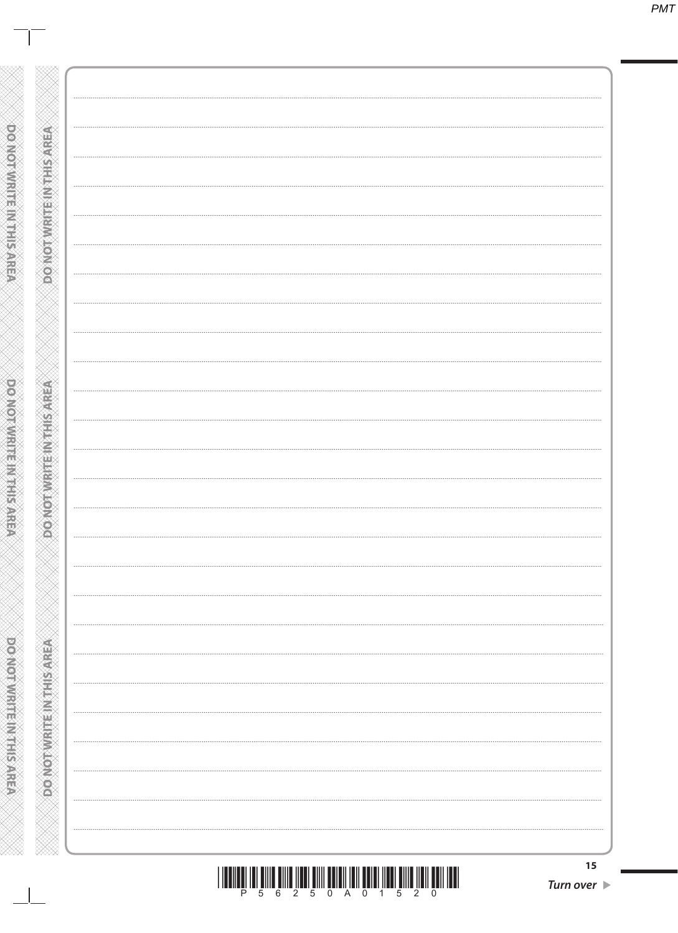| m<br><br>ä,<br>KМ<br> | <b>PONDIDINIREN MELISYRE</b> | <b>Norman Herman System</b> |
|-----------------------|------------------------------|-----------------------------|
|                       |                              |                             |
|                       |                              |                             |
|                       |                              |                             |
|                       |                              |                             |
|                       |                              |                             |
|                       |                              |                             |
|                       |                              |                             |

 $\sim 1$ 

 $\Box$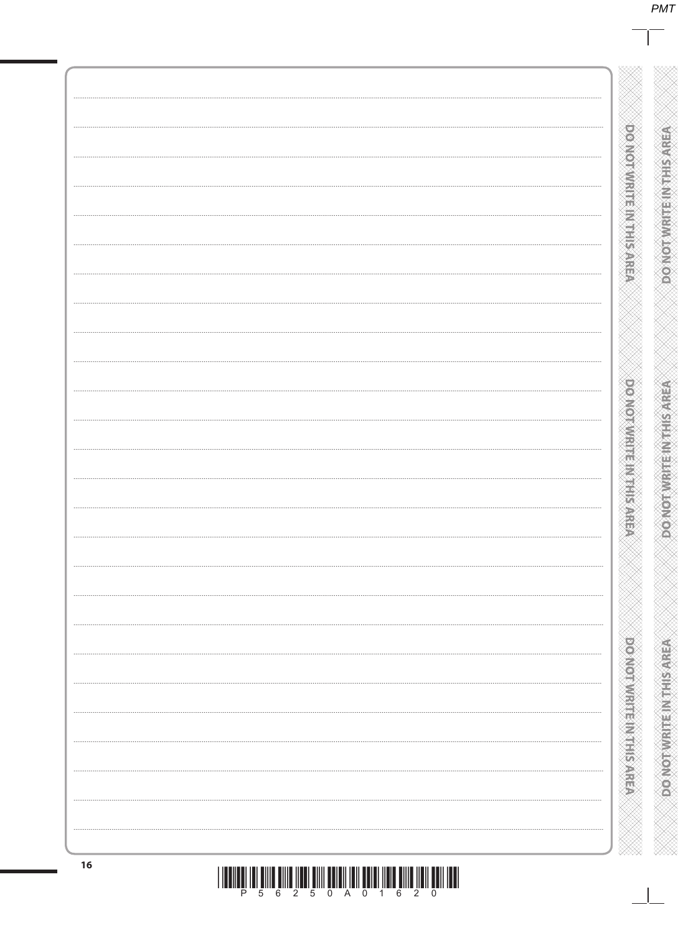| č                                | <b>DO NOT WRITE IN THIS AREA</b> |
|----------------------------------|----------------------------------|
|                                  |                                  |
| <b>OCNOTANEMENT MERIS AREA</b>   |                                  |
|                                  |                                  |
|                                  |                                  |
|                                  |                                  |
|                                  |                                  |
|                                  |                                  |
|                                  |                                  |
|                                  |                                  |
|                                  |                                  |
|                                  |                                  |
|                                  |                                  |
| Ş                                |                                  |
|                                  |                                  |
|                                  |                                  |
|                                  |                                  |
|                                  |                                  |
|                                  |                                  |
| $\hat{\mathcal{S}}$              |                                  |
|                                  |                                  |
|                                  |                                  |
|                                  |                                  |
|                                  |                                  |
|                                  |                                  |
|                                  |                                  |
|                                  |                                  |
|                                  |                                  |
|                                  |                                  |
|                                  |                                  |
|                                  |                                  |
|                                  |                                  |
|                                  |                                  |
|                                  |                                  |
|                                  |                                  |
|                                  |                                  |
| k<br>V                           |                                  |
|                                  |                                  |
|                                  |                                  |
|                                  |                                  |
|                                  |                                  |
|                                  |                                  |
|                                  |                                  |
|                                  |                                  |
| K)<br>K                          |                                  |
|                                  |                                  |
|                                  |                                  |
|                                  |                                  |
| Ò,                               |                                  |
|                                  |                                  |
|                                  |                                  |
|                                  | 888888                           |
|                                  |                                  |
|                                  |                                  |
|                                  |                                  |
|                                  |                                  |
|                                  | <b>XXXXXXX</b>                   |
|                                  |                                  |
|                                  |                                  |
|                                  |                                  |
|                                  |                                  |
|                                  |                                  |
|                                  |                                  |
|                                  |                                  |
|                                  |                                  |
|                                  |                                  |
|                                  |                                  |
|                                  |                                  |
|                                  |                                  |
|                                  |                                  |
|                                  |                                  |
|                                  |                                  |
|                                  |                                  |
|                                  |                                  |
|                                  |                                  |
|                                  |                                  |
|                                  | <b>CONCERN ERIC RESIDENCE</b>    |
|                                  | è                                |
|                                  |                                  |
| <b>OO NOT WRITE IN THIS AREA</b> |                                  |
|                                  |                                  |
|                                  |                                  |
| ▒                                |                                  |
|                                  |                                  |
|                                  |                                  |
|                                  |                                  |
| X<br>K                           |                                  |
|                                  |                                  |
|                                  |                                  |
|                                  |                                  |
|                                  |                                  |
|                                  |                                  |
|                                  |                                  |
|                                  |                                  |
|                                  |                                  |
|                                  |                                  |
|                                  |                                  |
|                                  | ě                                |
|                                  | ûũ                               |
|                                  |                                  |
|                                  |                                  |
|                                  |                                  |
|                                  |                                  |
|                                  | Ŭ<br>ä                           |
|                                  |                                  |
|                                  |                                  |
|                                  |                                  |
| Ź                                |                                  |
|                                  |                                  |
|                                  |                                  |
|                                  |                                  |
|                                  |                                  |
|                                  |                                  |
| 分列之一                             |                                  |
|                                  |                                  |
|                                  |                                  |
|                                  |                                  |
|                                  |                                  |
|                                  |                                  |
|                                  |                                  |
|                                  |                                  |
|                                  |                                  |
|                                  |                                  |
| k.                               |                                  |
|                                  |                                  |
| İ                                |                                  |
|                                  |                                  |

|  | <u>IT IN HEIL IN DIE BEITE DER EINE DER EIN DIE BEITE IN DIE BEITE IN DIE BEITE IN DIE BEITE DER EINE DIE BEITE</u> |  |  |  |  |  |
|--|---------------------------------------------------------------------------------------------------------------------|--|--|--|--|--|
|  | P 5 6 2 5 0 A 0 1 6 2 0                                                                                             |  |  |  |  |  |

 $\sim$ 

 $\dddotsc$ 

 $\ddotsc$ 

 $\ddotsc$ 

 $\cdots$ 

 $\cdots$ 

 $\cdots$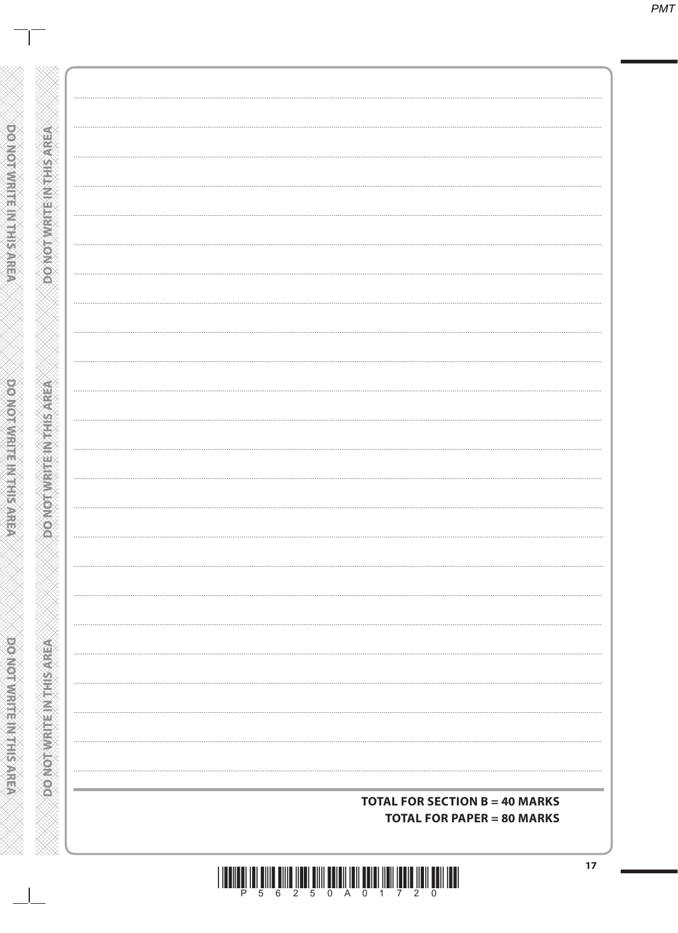| <br> |  |  |
|------|--|--|
|      |  |  |
|      |  |  |
|      |  |  |
|      |  |  |
|      |  |  |
|      |  |  |

DO NOTWRITE IN THIS AREA

**DO NOTIFICATION AND REALLY** 

**DOOMORATE MATHIS AREA** 

 $\frac{1}{2}$ 

PMT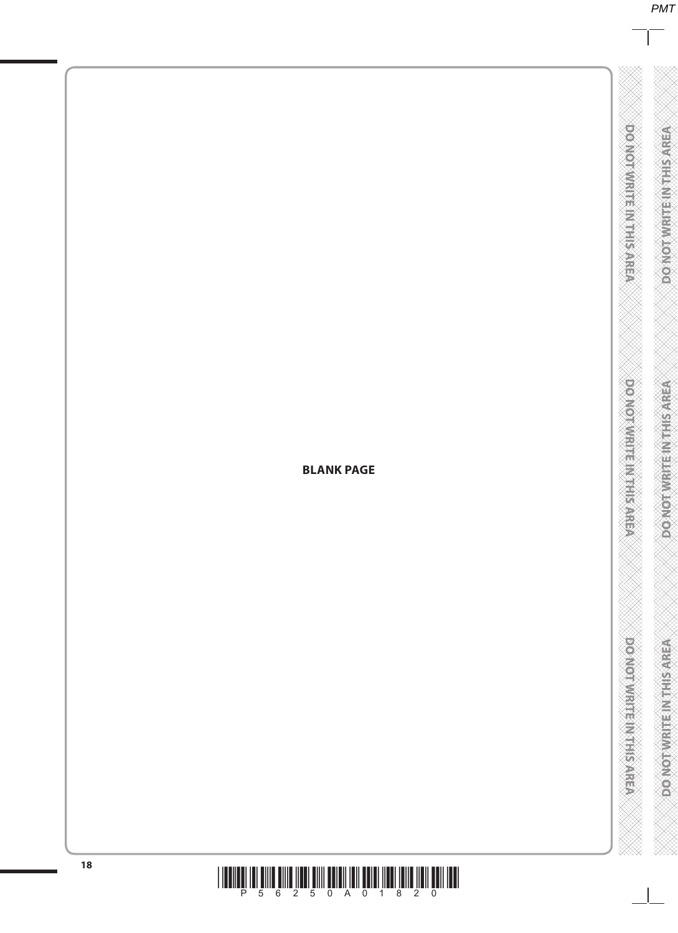**DOWORWRITEIN THIS AREA** 

**PONOTWEIGHTHIS REA** 

**DO NOT WIRTERNTHS AREA**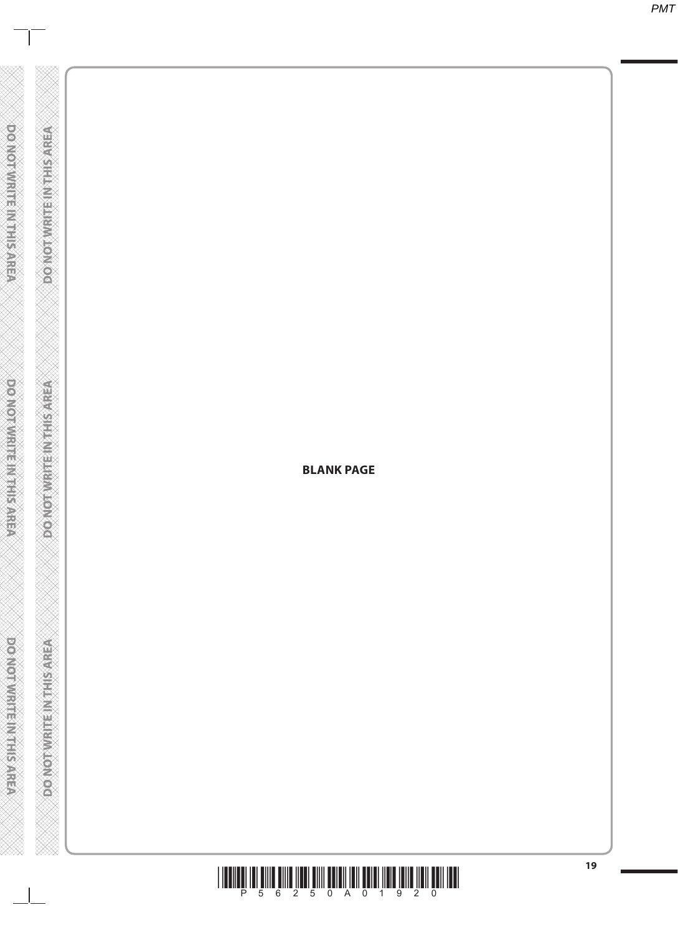

**DO NOT WRITE IN THIS AREA** 

**PONOTWRITEINTHIS AREA** 

a ka

**DO NOT WRITEINTHIS AREA**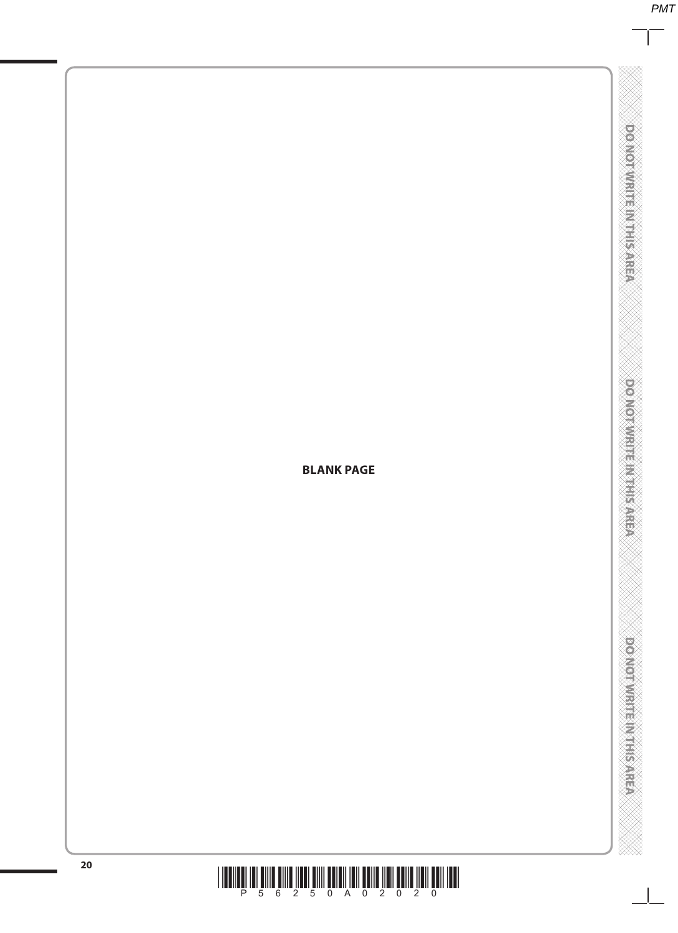**DONOTWRITEINTHIS AREA** 

**DOMOTORISTIC MERICANER** 

**DO NOT WRITE IN THIS AREA**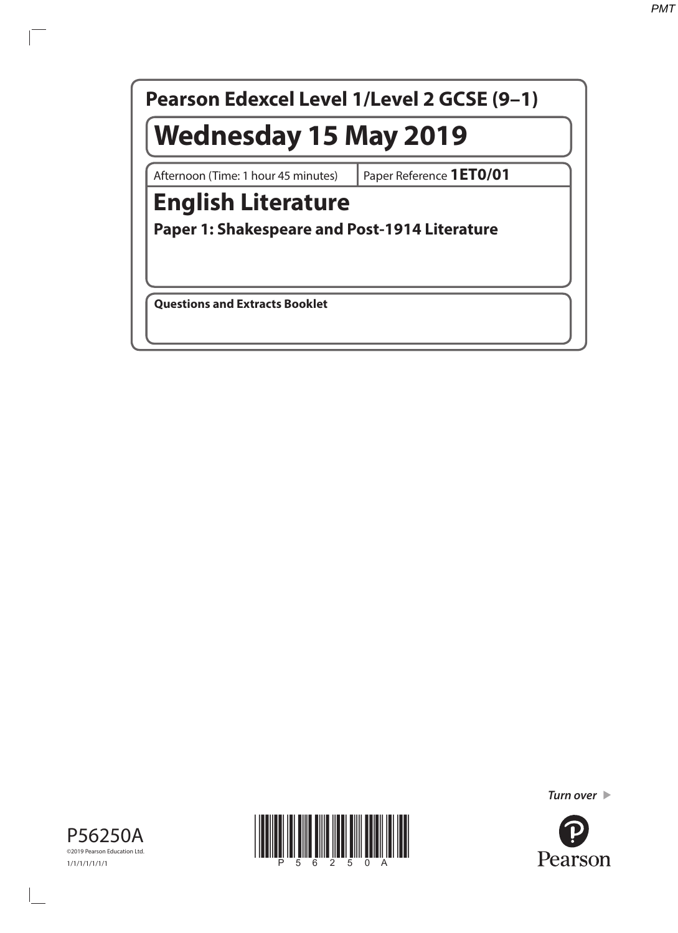

## **Wednesday 15 May 2019**

Afternoon (Time: 1 hour 45 minutes) Paper Reference **1ET0/01** 

## **English Literature**

**Paper 1: Shakespeare and Post-1914 Literature**

**Questions and Extracts Booklet**







*Turn over*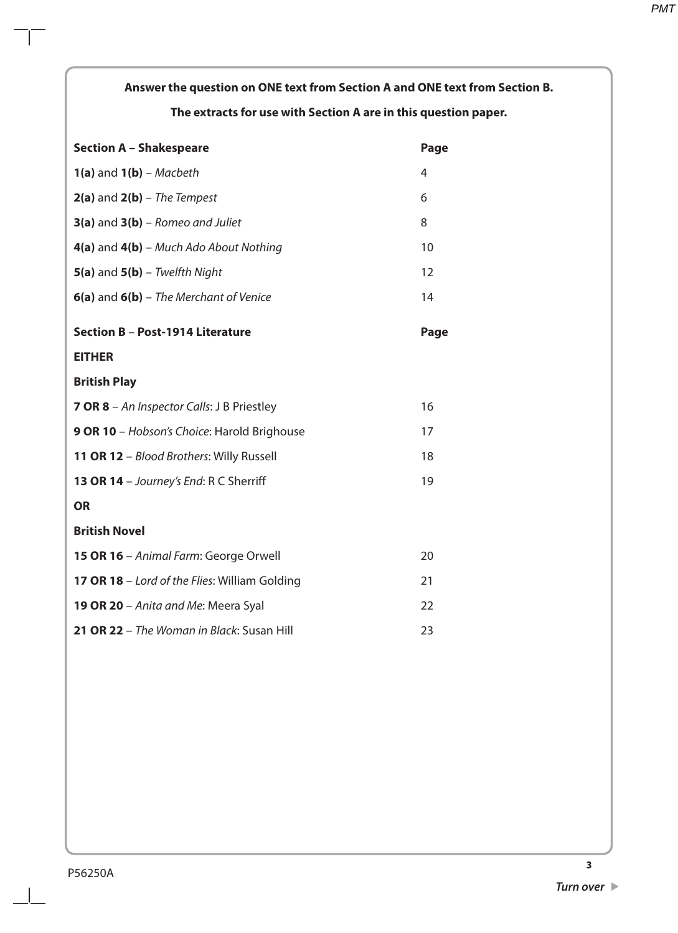| Answer the question on ONE text from Section A and ONE text from Section B. |      |  |  |  |  |  |  |
|-----------------------------------------------------------------------------|------|--|--|--|--|--|--|
| The extracts for use with Section A are in this question paper.             |      |  |  |  |  |  |  |
| <b>Section A - Shakespeare</b>                                              | Page |  |  |  |  |  |  |
| 1(a) and $1(b)$ – Macbeth                                                   | 4    |  |  |  |  |  |  |
| $2(a)$ and $2(b)$ – The Tempest                                             | 6    |  |  |  |  |  |  |
| $3(a)$ and $3(b)$ – Romeo and Juliet                                        | 8    |  |  |  |  |  |  |
| $4(a)$ and $4(b)$ – Much Ado About Nothing                                  | 10   |  |  |  |  |  |  |
| 5(a) and $5(b)$ – Twelfth Night                                             | 12   |  |  |  |  |  |  |
| $6(a)$ and $6(b)$ – The Merchant of Venice                                  | 14   |  |  |  |  |  |  |
| Section B - Post-1914 Literature                                            | Page |  |  |  |  |  |  |
| <b>EITHER</b>                                                               |      |  |  |  |  |  |  |
| <b>British Play</b>                                                         |      |  |  |  |  |  |  |
| 7 OR 8 - An Inspector Calls: J B Priestley                                  | 16   |  |  |  |  |  |  |
| 9 OR 10 - Hobson's Choice: Harold Brighouse                                 | 17   |  |  |  |  |  |  |
| 11 OR 12 - Blood Brothers: Willy Russell                                    | 18   |  |  |  |  |  |  |
| 13 OR 14 - Journey's End: R C Sherriff                                      | 19   |  |  |  |  |  |  |
| <b>OR</b>                                                                   |      |  |  |  |  |  |  |
| <b>British Novel</b>                                                        |      |  |  |  |  |  |  |
| 15 OR 16 - Animal Farm: George Orwell                                       | 20   |  |  |  |  |  |  |
| <b>17 OR 18</b> - Lord of the Flies: William Golding                        | 21   |  |  |  |  |  |  |
| 19 OR 20 - Anita and Me: Meera Syal                                         | 22   |  |  |  |  |  |  |
| 21 OR 22 - The Woman in Black: Susan Hill                                   | 23   |  |  |  |  |  |  |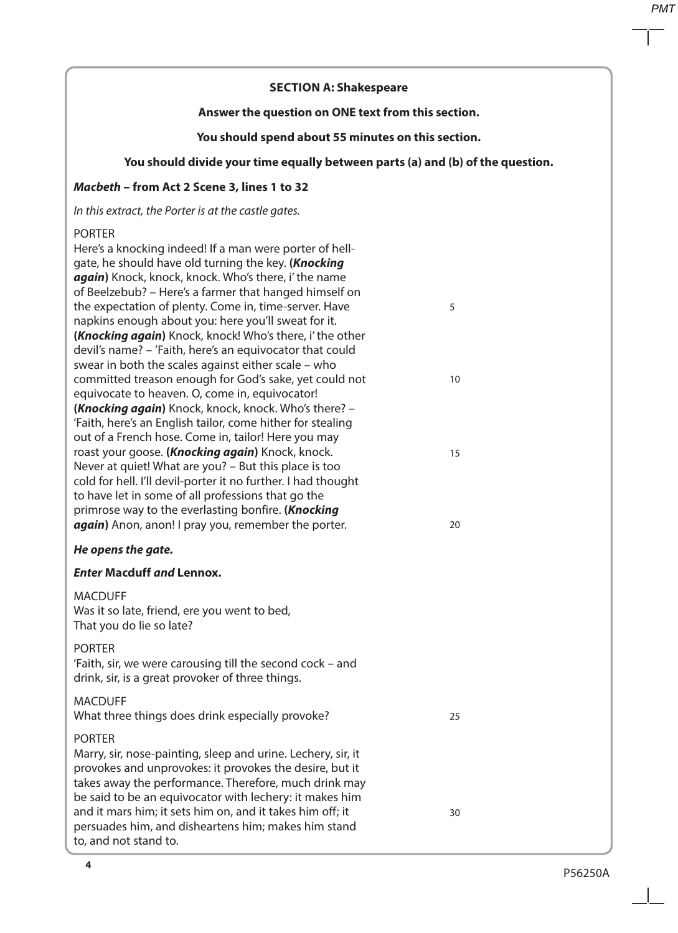#### **SECTION A: Shakespeare**

#### **Answer the question on ONE text from this section.**

#### **You should spend about 55 minutes on this section.**

#### **You should divide your time equally between parts (a) and (b) of the question.**

5

10

15

20

25

30

#### *Macbeth* **– from Act 2 Scene 3, lines 1 to 32**

*In this extract, the Porter is at the castle gates.*

#### PORTER

| Here's a knocking indeed! If a man were porter of hell-<br>gate, he should have old turning the key. (Knocking<br>again) Knock, knock, knock. Who's there, i' the name<br>of Beelzebub? - Here's a farmer that hanged himself on                                                                                                                                                                                                                                                                                                    |
|-------------------------------------------------------------------------------------------------------------------------------------------------------------------------------------------------------------------------------------------------------------------------------------------------------------------------------------------------------------------------------------------------------------------------------------------------------------------------------------------------------------------------------------|
| the expectation of plenty. Come in, time-server. Have<br>napkins enough about you: here you'll sweat for it.<br>( <i>Knocking again</i> ) Knock, knock! Who's there, i' the other<br>devil's name? - 'Faith, here's an equivocator that could<br>swear in both the scales against either scale - who<br>committed treason enough for God's sake, yet could not<br>equivocate to heaven. O, come in, equivocator!                                                                                                                    |
| (Knocking again) Knock, knock, knock. Who's there? -<br>'Faith, here's an English tailor, come hither for stealing<br>out of a French hose. Come in, tailor! Here you may<br>roast your goose. ( <i>Knocking again</i> ) Knock, knock.<br>Never at quiet! What are you? – But this place is too<br>cold for hell. I'll devil-porter it no further. I had thought<br>to have let in some of all professions that go the<br>primrose way to the everlasting bonfire. (Knocking<br>again) Anon, anon! I pray you, remember the porter. |
| He opens the gate.                                                                                                                                                                                                                                                                                                                                                                                                                                                                                                                  |
| <b>Enter Macduff and Lennox.</b>                                                                                                                                                                                                                                                                                                                                                                                                                                                                                                    |
| <b>MACDUFF</b><br>Was it so late, friend, ere you went to bed,<br>That you do lie so late?                                                                                                                                                                                                                                                                                                                                                                                                                                          |
| <b>PORTER</b><br>'Faith, sir, we were carousing till the second cock - and                                                                                                                                                                                                                                                                                                                                                                                                                                                          |

drink, sir, is a great provoker of three things.

#### MACDUFF

| What three things does drink especially provoke? |  |
|--------------------------------------------------|--|
|                                                  |  |

#### PORTER

Marry, sir, nose-painting, sleep and urine. Lechery, sir, it provokes and unprovokes: it provokes the desire, but it takes away the performance. Therefore, much drink may be said to be an equivocator with lechery: it makes him and it mars him; it sets him on, and it takes him off; it persuades him, and disheartens him; makes him stand to, and not stand to.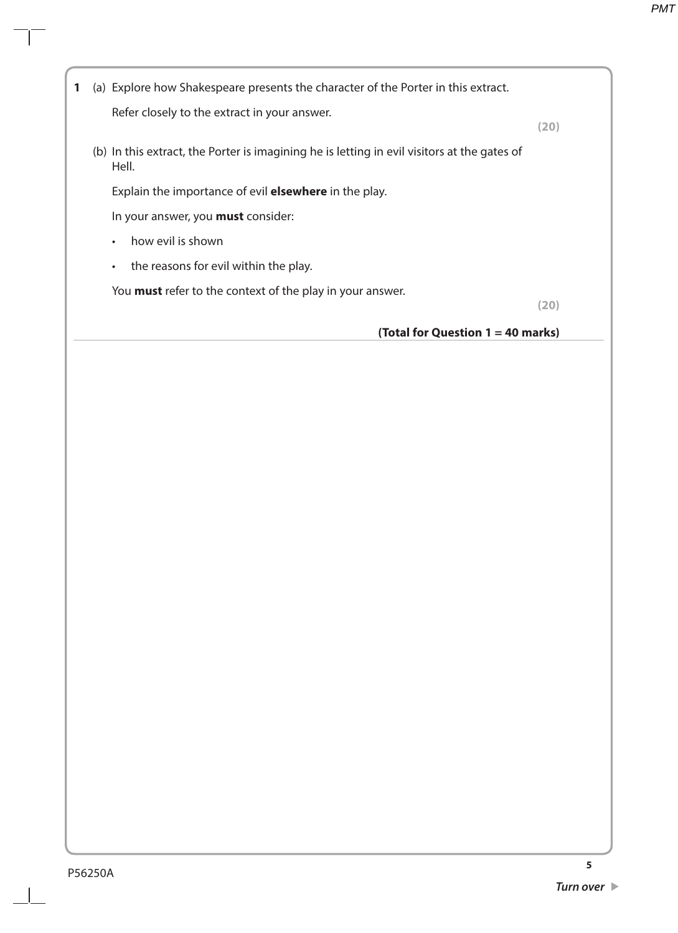| (a) Explore how Shakespeare presents the character of the Porter in this extract.                    |      |
|------------------------------------------------------------------------------------------------------|------|
| Refer closely to the extract in your answer.                                                         | (20) |
| (b) In this extract, the Porter is imagining he is letting in evil visitors at the gates of<br>Hell. |      |
| Explain the importance of evil <b>elsewhere</b> in the play.                                         |      |
| In your answer, you <b>must</b> consider:                                                            |      |
| how evil is shown                                                                                    |      |
| the reasons for evil within the play.<br>$\bullet$                                                   |      |
| You <b>must</b> refer to the context of the play in your answer.                                     |      |
|                                                                                                      | (20) |
| (Total for Question $1 = 40$ marks)                                                                  |      |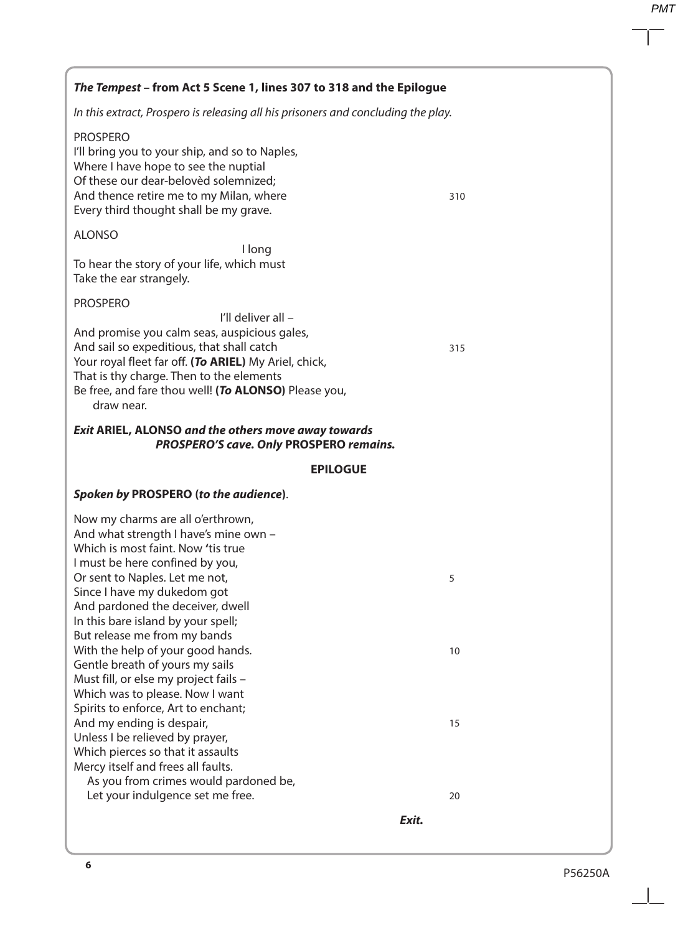| The Tempest – from Act 5 Scene 1, lines 307 to 318 and the Epilogue<br>I long<br>I'll deliver all -<br>draw near.<br>PROSPERO'S cave. Only PROSPERO remains.<br><b>EPILOGUE</b>                                                                                                                                                                                                                                                                                                                                                                                                                                                                                                                                                                                                                                                                                                                                                                                                                                                                                                                                                                    |     |
|----------------------------------------------------------------------------------------------------------------------------------------------------------------------------------------------------------------------------------------------------------------------------------------------------------------------------------------------------------------------------------------------------------------------------------------------------------------------------------------------------------------------------------------------------------------------------------------------------------------------------------------------------------------------------------------------------------------------------------------------------------------------------------------------------------------------------------------------------------------------------------------------------------------------------------------------------------------------------------------------------------------------------------------------------------------------------------------------------------------------------------------------------|-----|
| In this extract, Prospero is releasing all his prisoners and concluding the play.<br><b>PROSPERO</b><br>I'll bring you to your ship, and so to Naples,<br>Where I have hope to see the nuptial<br>Of these our dear-belovèd solemnized;<br>And thence retire me to my Milan, where<br>Every third thought shall be my grave.                                                                                                                                                                                                                                                                                                                                                                                                                                                                                                                                                                                                                                                                                                                                                                                                                       |     |
|                                                                                                                                                                                                                                                                                                                                                                                                                                                                                                                                                                                                                                                                                                                                                                                                                                                                                                                                                                                                                                                                                                                                                    |     |
| <b>ALONSO</b><br>To hear the story of your life, which must<br>Take the ear strangely.<br><b>PROSPERO</b><br>And promise you calm seas, auspicious gales,<br>And sail so expeditious, that shall catch<br>Your royal fleet far off. (To ARIEL) My Ariel, chick,<br>That is thy charge. Then to the elements<br>Be free, and fare thou well! (To ALONSO) Please you,<br><b>Exit ARIEL, ALONSO and the others move away towards</b><br>Spoken by PROSPERO (to the audience).<br>Now my charms are all o'erthrown,<br>And what strength I have's mine own -<br>Which is most faint. Now 'tis true<br>I must be here confined by you,<br>Or sent to Naples. Let me not,<br>Since I have my dukedom got<br>And pardoned the deceiver, dwell<br>In this bare island by your spell;<br>But release me from my bands<br>With the help of your good hands.<br>Gentle breath of yours my sails<br>Must fill, or else my project fails -<br>Which was to please. Now I want<br>Spirits to enforce, Art to enchant;<br>And my ending is despair,<br>Unless I be relieved by prayer,<br>Which pierces so that it assaults<br>Mercy itself and frees all faults. | 310 |
|                                                                                                                                                                                                                                                                                                                                                                                                                                                                                                                                                                                                                                                                                                                                                                                                                                                                                                                                                                                                                                                                                                                                                    |     |
|                                                                                                                                                                                                                                                                                                                                                                                                                                                                                                                                                                                                                                                                                                                                                                                                                                                                                                                                                                                                                                                                                                                                                    |     |
|                                                                                                                                                                                                                                                                                                                                                                                                                                                                                                                                                                                                                                                                                                                                                                                                                                                                                                                                                                                                                                                                                                                                                    |     |
|                                                                                                                                                                                                                                                                                                                                                                                                                                                                                                                                                                                                                                                                                                                                                                                                                                                                                                                                                                                                                                                                                                                                                    | 315 |
|                                                                                                                                                                                                                                                                                                                                                                                                                                                                                                                                                                                                                                                                                                                                                                                                                                                                                                                                                                                                                                                                                                                                                    |     |
|                                                                                                                                                                                                                                                                                                                                                                                                                                                                                                                                                                                                                                                                                                                                                                                                                                                                                                                                                                                                                                                                                                                                                    |     |
|                                                                                                                                                                                                                                                                                                                                                                                                                                                                                                                                                                                                                                                                                                                                                                                                                                                                                                                                                                                                                                                                                                                                                    |     |
|                                                                                                                                                                                                                                                                                                                                                                                                                                                                                                                                                                                                                                                                                                                                                                                                                                                                                                                                                                                                                                                                                                                                                    |     |
|                                                                                                                                                                                                                                                                                                                                                                                                                                                                                                                                                                                                                                                                                                                                                                                                                                                                                                                                                                                                                                                                                                                                                    | 5   |
|                                                                                                                                                                                                                                                                                                                                                                                                                                                                                                                                                                                                                                                                                                                                                                                                                                                                                                                                                                                                                                                                                                                                                    | 10  |
|                                                                                                                                                                                                                                                                                                                                                                                                                                                                                                                                                                                                                                                                                                                                                                                                                                                                                                                                                                                                                                                                                                                                                    | 15  |
| As you from crimes would pardoned be,<br>Let your indulgence set me free.                                                                                                                                                                                                                                                                                                                                                                                                                                                                                                                                                                                                                                                                                                                                                                                                                                                                                                                                                                                                                                                                          |     |
|                                                                                                                                                                                                                                                                                                                                                                                                                                                                                                                                                                                                                                                                                                                                                                                                                                                                                                                                                                                                                                                                                                                                                    | 20  |
| Exit.                                                                                                                                                                                                                                                                                                                                                                                                                                                                                                                                                                                                                                                                                                                                                                                                                                                                                                                                                                                                                                                                                                                                              |     |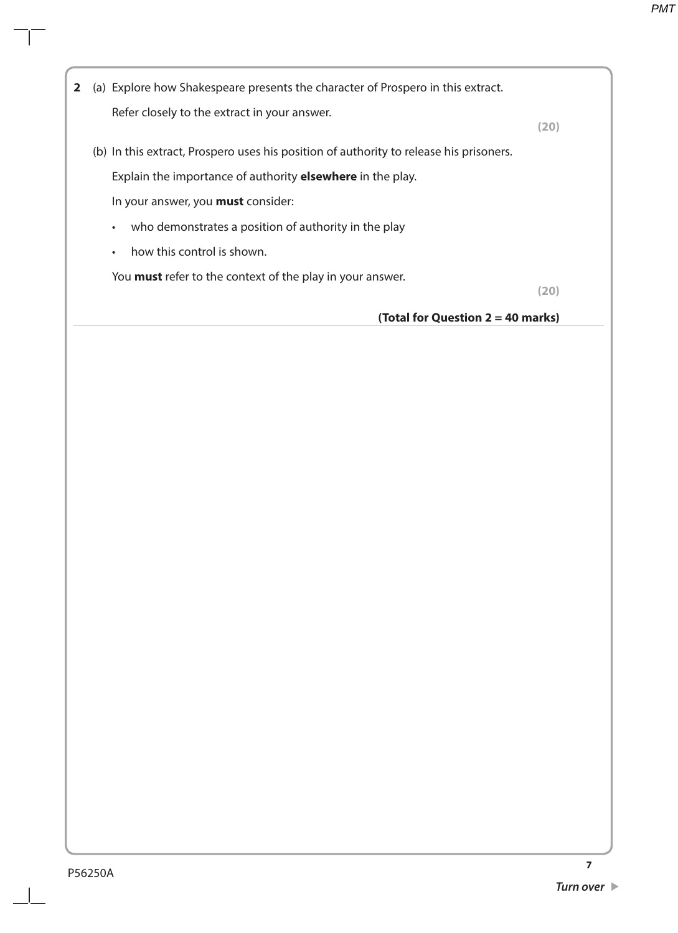| $\mathbf{2}$ | (a) Explore how Shakespeare presents the character of Prospero in this extract.        |      |
|--------------|----------------------------------------------------------------------------------------|------|
|              | Refer closely to the extract in your answer.                                           | (20) |
|              | (b) In this extract, Prospero uses his position of authority to release his prisoners. |      |
|              | Explain the importance of authority <b>elsewhere</b> in the play.                      |      |
|              | In your answer, you <b>must</b> consider:                                              |      |
|              | who demonstrates a position of authority in the play<br>$\bullet$                      |      |
|              | how this control is shown.<br>$\bullet$                                                |      |
|              | You <b>must</b> refer to the context of the play in your answer.                       | (20) |
|              | (Total for Question 2 = 40 marks)                                                      |      |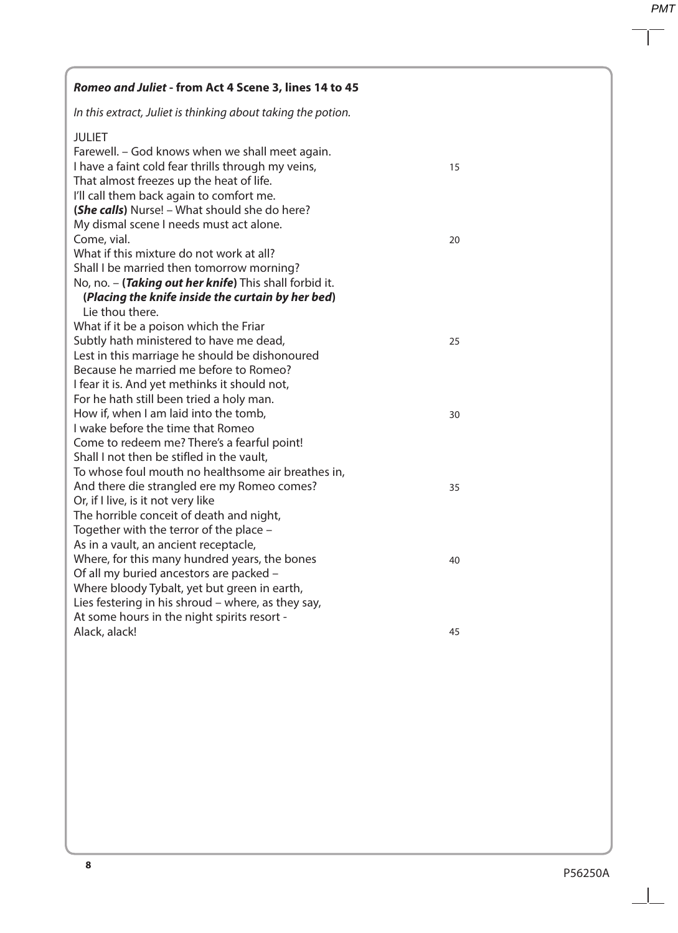## *Romeo and Juliet* **- from Act 4 Scene 3, lines 14 to 45**

*In this extract, Juliet is thinking about taking the potion.*

| <b>JULIET</b>                                          |    |
|--------------------------------------------------------|----|
| Farewell. – God knows when we shall meet again.        |    |
| I have a faint cold fear thrills through my veins,     | 15 |
| That almost freezes up the heat of life.               |    |
| I'll call them back again to comfort me.               |    |
| (She calls) Nurse! - What should she do here?          |    |
| My dismal scene I needs must act alone.                |    |
| Come, vial.                                            | 20 |
| What if this mixture do not work at all?               |    |
| Shall I be married then tomorrow morning?              |    |
| No, no. - (Taking out her knife) This shall forbid it. |    |
| (Placing the knife inside the curtain by her bed)      |    |
| Lie thou there.                                        |    |
| What if it be a poison which the Friar                 |    |
| Subtly hath ministered to have me dead,                | 25 |
| Lest in this marriage he should be dishonoured         |    |
| Because he married me before to Romeo?                 |    |
| I fear it is. And yet methinks it should not,          |    |
| For he hath still been tried a holy man.               |    |
| How if, when I am laid into the tomb,                  | 30 |
| I wake before the time that Romeo                      |    |
| Come to redeem me? There's a fearful point!            |    |
| Shall I not then be stifled in the vault,              |    |
| To whose foul mouth no healthsome air breathes in,     |    |
| And there die strangled ere my Romeo comes?            | 35 |
| Or, if I live, is it not very like                     |    |
| The horrible conceit of death and night,               |    |
| Together with the terror of the place -                |    |
| As in a vault, an ancient receptacle,                  |    |
| Where, for this many hundred years, the bones          | 40 |
| Of all my buried ancestors are packed -                |    |
| Where bloody Tybalt, yet but green in earth,           |    |
| Lies festering in his shroud – where, as they say,     |    |
| At some hours in the night spirits resort -            |    |
| Alack, alack!                                          | 45 |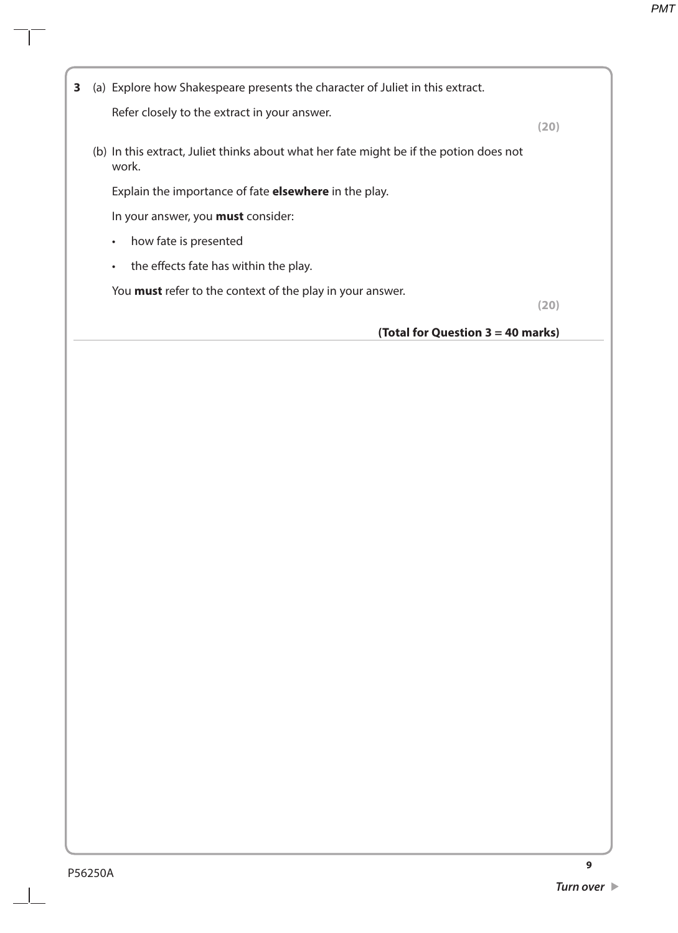|           | (a) Explore how Shakespeare presents the character of Juliet in this extract.          |      |
|-----------|----------------------------------------------------------------------------------------|------|
|           | Refer closely to the extract in your answer.                                           |      |
|           |                                                                                        | (20) |
| work.     | (b) In this extract, Juliet thinks about what her fate might be if the potion does not |      |
|           | Explain the importance of fate <b>elsewhere</b> in the play.                           |      |
|           | In your answer, you <b>must</b> consider:                                              |      |
| $\bullet$ | how fate is presented                                                                  |      |
| $\bullet$ | the effects fate has within the play.                                                  |      |
|           | You <b>must</b> refer to the context of the play in your answer.                       |      |
|           |                                                                                        | (20) |
|           | (Total for Question 3 = 40 marks)                                                      |      |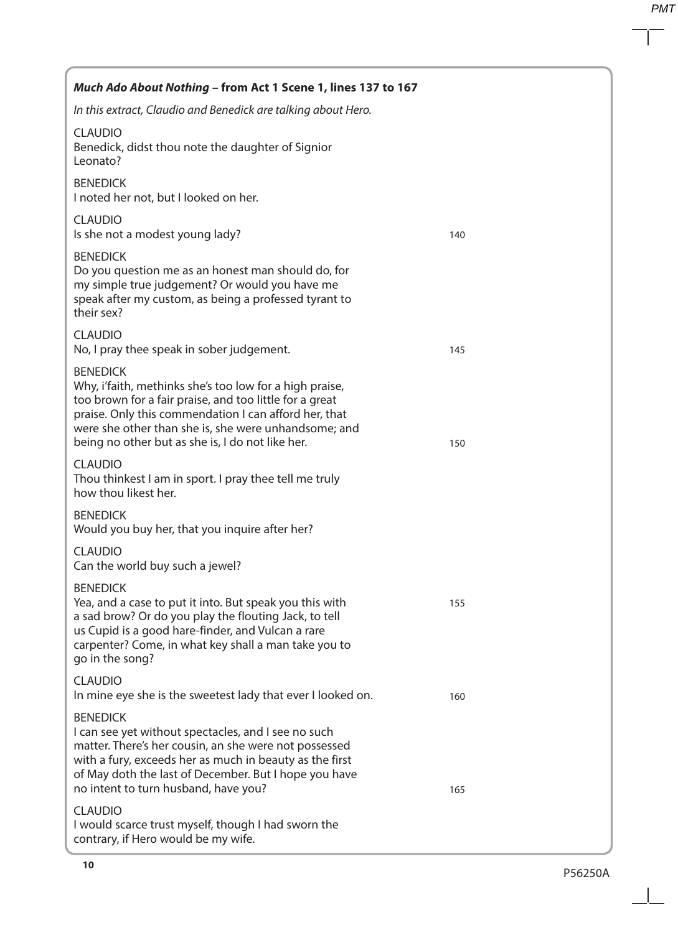| <b>Much Ado About Nothing - from Act 1 Scene 1, lines 137 to 167</b>                                                                                                                                                                                                                                       |     |
|------------------------------------------------------------------------------------------------------------------------------------------------------------------------------------------------------------------------------------------------------------------------------------------------------------|-----|
| In this extract, Claudio and Benedick are talking about Hero.                                                                                                                                                                                                                                              |     |
| <b>CLAUDIO</b><br>Benedick, didst thou note the daughter of Signior<br>Leonato?                                                                                                                                                                                                                            |     |
| <b>BENEDICK</b><br>I noted her not, but I looked on her.                                                                                                                                                                                                                                                   |     |
| <b>CLAUDIO</b><br>Is she not a modest young lady?                                                                                                                                                                                                                                                          | 140 |
| <b>BENEDICK</b><br>Do you question me as an honest man should do, for<br>my simple true judgement? Or would you have me<br>speak after my custom, as being a professed tyrant to<br>their sex?                                                                                                             |     |
| <b>CLAUDIO</b><br>No, I pray thee speak in sober judgement.                                                                                                                                                                                                                                                | 145 |
| <b>BENEDICK</b><br>Why, i'faith, methinks she's too low for a high praise,<br>too brown for a fair praise, and too little for a great<br>praise. Only this commendation I can afford her, that<br>were she other than she is, she were unhandsome; and<br>being no other but as she is, I do not like her. | 150 |
| <b>CLAUDIO</b><br>Thou thinkest I am in sport. I pray thee tell me truly<br>how thou likest her.                                                                                                                                                                                                           |     |
| <b>BENEDICK</b><br>Would you buy her, that you inquire after her?                                                                                                                                                                                                                                          |     |
| <b>CLAUDIO</b><br>Can the world buy such a jewel?                                                                                                                                                                                                                                                          |     |
| <b>BENEDICK</b><br>Yea, and a case to put it into. But speak you this with<br>a sad brow? Or do you play the flouting Jack, to tell<br>us Cupid is a good hare-finder, and Vulcan a rare<br>carpenter? Come, in what key shall a man take you to<br>go in the song?                                        | 155 |
| <b>CLAUDIO</b><br>In mine eye she is the sweetest lady that ever I looked on.                                                                                                                                                                                                                              | 160 |
| <b>BENEDICK</b><br>I can see yet without spectacles, and I see no such<br>matter. There's her cousin, an she were not possessed<br>with a fury, exceeds her as much in beauty as the first<br>of May doth the last of December. But I hope you have<br>no intent to turn husband, have you?                | 165 |
| <b>CLAUDIO</b><br>I would scarce trust myself, though I had sworn the<br>contrary, if Hero would be my wife.                                                                                                                                                                                               |     |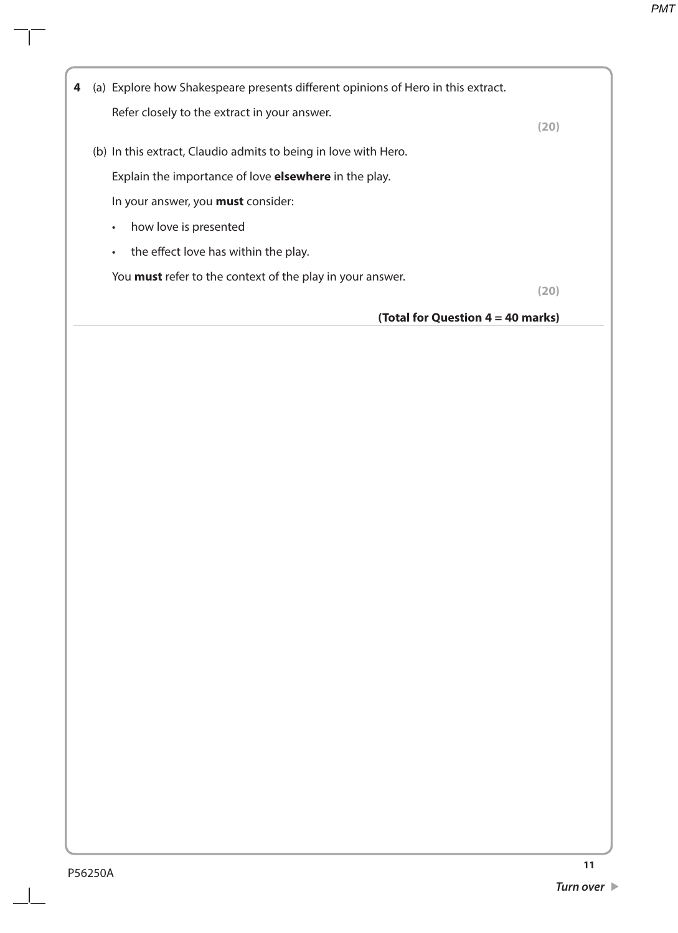| 4 | (a) Explore how Shakespeare presents different opinions of Hero in this extract. |      |
|---|----------------------------------------------------------------------------------|------|
|   | Refer closely to the extract in your answer.                                     |      |
|   | (b) In this extract, Claudio admits to being in love with Hero.                  | (20) |
|   | Explain the importance of love <b>elsewhere</b> in the play.                     |      |
|   | In your answer, you must consider:                                               |      |
|   | how love is presented<br>$\bullet$                                               |      |
|   | the effect love has within the play.<br>$\bullet$                                |      |
|   | You <b>must</b> refer to the context of the play in your answer.                 | (20) |
|   | (Total for Question $4 = 40$ marks)                                              |      |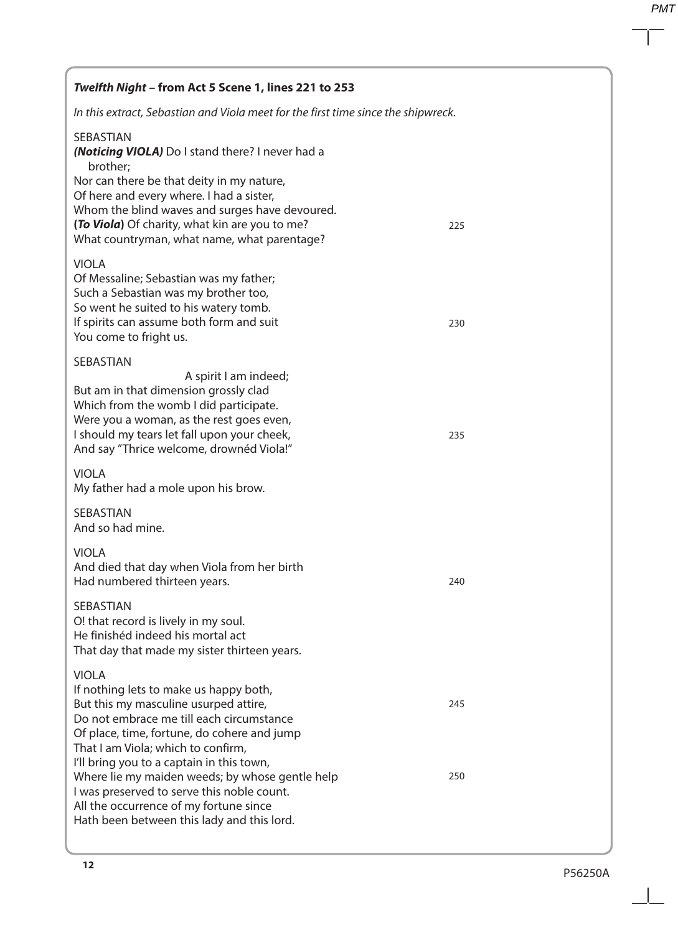| Twelfth Night - from Act 5 Scene 1, lines 221 to 253                                                                                                                                                                                                                                                                  |     |
|-----------------------------------------------------------------------------------------------------------------------------------------------------------------------------------------------------------------------------------------------------------------------------------------------------------------------|-----|
| In this extract, Sebastian and Viola meet for the first time since the shipwreck.                                                                                                                                                                                                                                     |     |
| SEBASTIAN<br>(Noticing VIOLA) Do I stand there? I never had a<br>brother;<br>Nor can there be that deity in my nature,<br>Of here and every where. I had a sister,<br>Whom the blind waves and surges have devoured.<br>(To Viola) Of charity, what kin are you to me?<br>What countryman, what name, what parentage? | 225 |
| <b>VIOLA</b><br>Of Messaline; Sebastian was my father;<br>Such a Sebastian was my brother too,<br>So went he suited to his watery tomb.<br>If spirits can assume both form and suit<br>You come to fright us.                                                                                                         | 230 |
| SEBASTIAN<br>A spirit I am indeed;<br>But am in that dimension grossly clad<br>Which from the womb I did participate.<br>Were you a woman, as the rest goes even,<br>I should my tears let fall upon your cheek,<br>And say "Thrice welcome, drownéd Viola!"                                                          | 235 |
| <b>VIOLA</b><br>My father had a mole upon his brow.                                                                                                                                                                                                                                                                   |     |
| <b>SEBASTIAN</b><br>And so had mine.                                                                                                                                                                                                                                                                                  |     |
| <b>VIOLA</b><br>And died that day when Viola from her birth<br>Had numbered thirteen years.                                                                                                                                                                                                                           | 240 |
| <b>SEBASTIAN</b><br>O! that record is lively in my soul.<br>He finishéd indeed his mortal act<br>That day that made my sister thirteen years.                                                                                                                                                                         |     |
| <b>VIOLA</b><br>If nothing lets to make us happy both,<br>But this my masculine usurped attire,<br>Do not embrace me till each circumstance<br>Of place, time, fortune, do cohere and jump<br>That I am Viola; which to confirm,<br>I'll bring you to a captain in this town,                                         | 245 |
| Where lie my maiden weeds; by whose gentle help<br>I was preserved to serve this noble count.<br>All the occurrence of my fortune since<br>Hath been between this lady and this lord.                                                                                                                                 | 250 |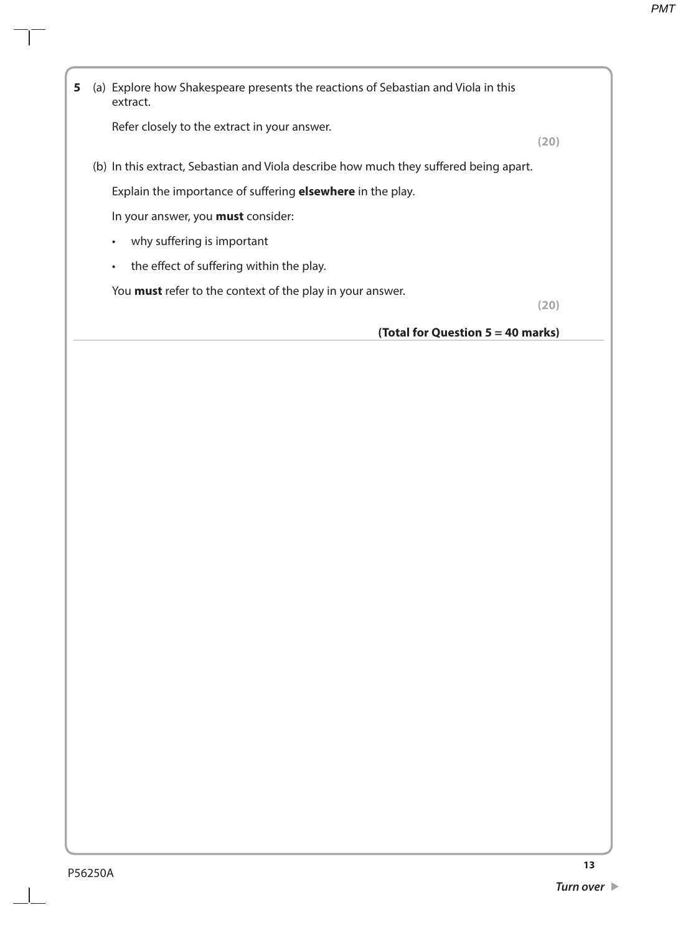| 5 | (a) Explore how Shakespeare presents the reactions of Sebastian and Viola in this<br>extract. |      |
|---|-----------------------------------------------------------------------------------------------|------|
|   | Refer closely to the extract in your answer.                                                  | (20) |
|   | (b) In this extract, Sebastian and Viola describe how much they suffered being apart.         |      |
|   | Explain the importance of suffering <b>elsewhere</b> in the play.                             |      |
|   | In your answer, you <b>must</b> consider:                                                     |      |
|   | why suffering is important                                                                    |      |
|   | the effect of suffering within the play.<br>$\bullet$                                         |      |
|   | You <b>must</b> refer to the context of the play in your answer.                              |      |
|   |                                                                                               | (20) |
|   | (Total for Question $5 = 40$ marks)                                                           |      |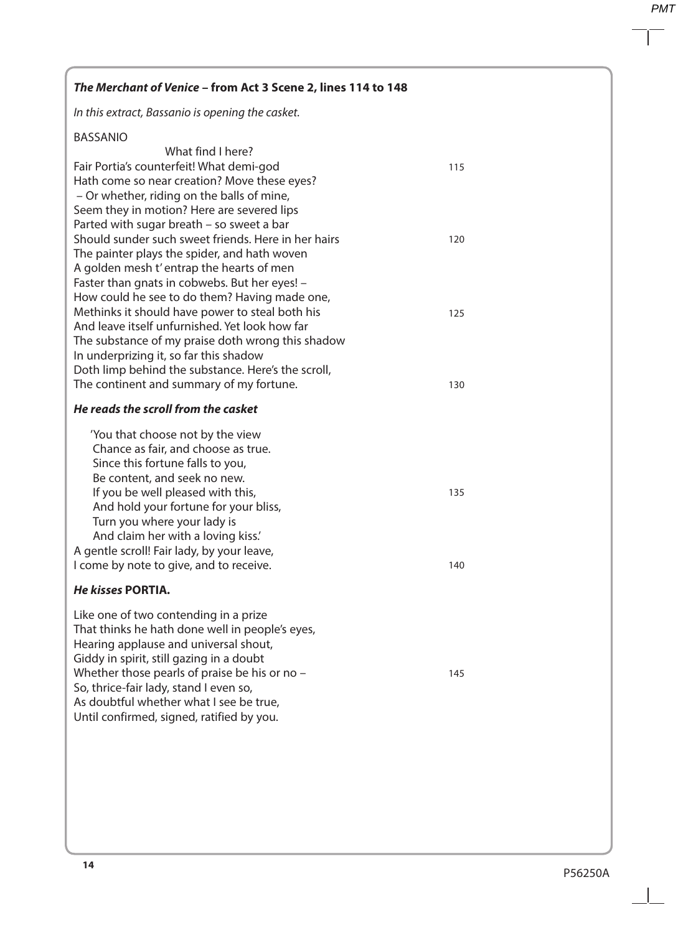## *The Merchant of Venice* **– from Act 3 Scene 2, lines 114 to 148**

*In this extract, Bassanio is opening the casket.*

## BASSANIO

| What find I here?                                   |     |
|-----------------------------------------------------|-----|
| Fair Portia's counterfeit! What demi-god            | 115 |
| Hath come so near creation? Move these eyes?        |     |
| - Or whether, riding on the balls of mine,          |     |
| Seem they in motion? Here are severed lips          |     |
| Parted with sugar breath – so sweet a bar           |     |
| Should sunder such sweet friends. Here in her hairs | 120 |
| The painter plays the spider, and hath woven        |     |
| A golden mesh t'entrap the hearts of men            |     |
| Faster than gnats in cobwebs. But her eyes! -       |     |
| How could he see to do them? Having made one,       |     |
| Methinks it should have power to steal both his     | 125 |
| And leave itself unfurnished. Yet look how far      |     |
| The substance of my praise doth wrong this shadow   |     |
| In underprizing it, so far this shadow              |     |
| Doth limp behind the substance. Here's the scroll,  |     |
| The continent and summary of my fortune.            | 130 |
| He reads the scroll from the casket                 |     |
| 'You that choose not by the view                    |     |
| Chance as fair, and choose as true.                 |     |
| Since this fortune falls to you,                    |     |
| Be content, and seek no new.                        |     |
| If you be well pleased with this,                   | 135 |
| And hold your fortune for your bliss,               |     |
| Turn you where your lady is                         |     |
| And claim her with a loving kiss.                   |     |
| A gentle scroll! Fair lady, by your leave,          |     |
| I come by note to give, and to receive.             | 140 |
| He kisses PORTIA.                                   |     |
| Like one of two contending in a prize               |     |
| That thinks he hath done well in people's eyes,     |     |
| Hearing applause and universal shout,               |     |
| Giddy in spirit, still gazing in a doubt            |     |
| Whether those pearls of praise be his or no -       | 145 |
| So, thrice-fair lady, stand I even so,              |     |
| As doubtful whether what I see be true,             |     |

Until confirmed, signed, ratified by you.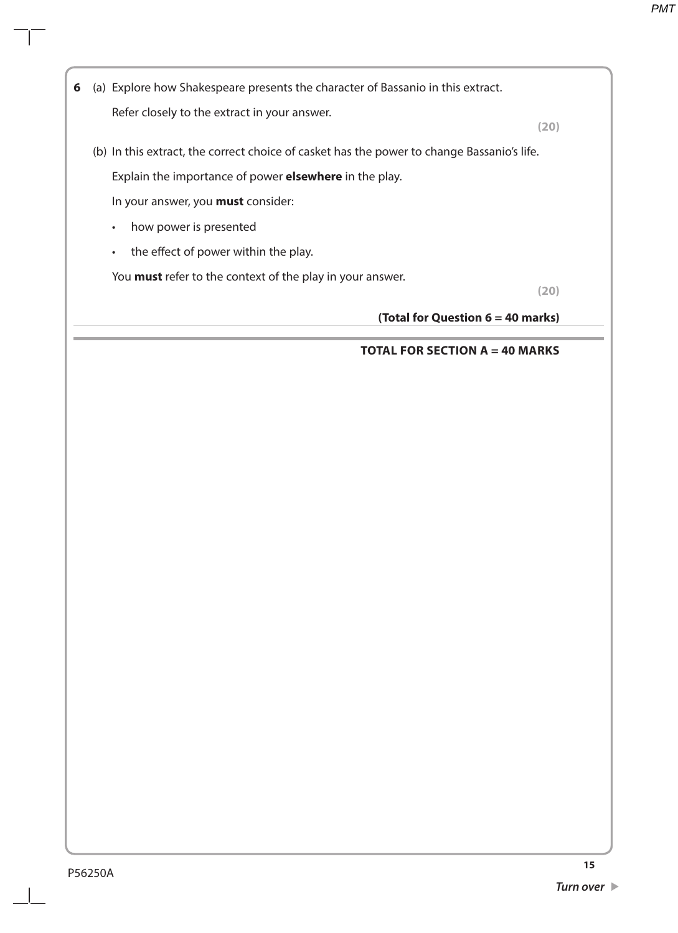| (Total for Question 6 = 40 marks)                                                          |
|--------------------------------------------------------------------------------------------|
|                                                                                            |
| You <b>must</b> refer to the context of the play in your answer.<br>(20)                   |
| the effect of power within the play.<br>$\bullet$                                          |
| how power is presented<br>٠                                                                |
| In your answer, you <b>must</b> consider:                                                  |
|                                                                                            |
| Explain the importance of power <b>elsewhere</b> in the play.                              |
| (b) In this extract, the correct choice of casket has the power to change Bassanio's life. |
| Refer closely to the extract in your answer.<br>(20)                                       |
|                                                                                            |
| (a) Explore how Shakespeare presents the character of Bassanio in this extract.            |
|                                                                                            |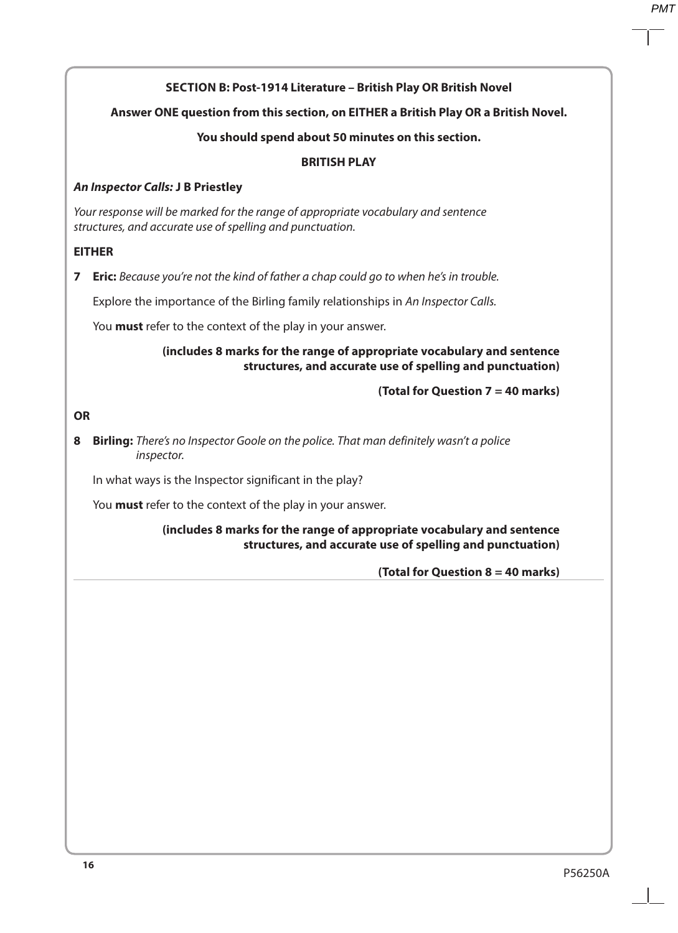## **SECTION B: Post-1914 Literature – British Play OR British Novel Answer ONE question from this section, on EITHER a British Play OR a British Novel. You should spend about 50 minutes on this section. BRITISH PLAY** *An Inspector Calls:* **J B Priestley** *Your response will be marked for the range of appropriate vocabulary and sentence structures, and accurate use of spelling and punctuation.* **EITHER 7 Eric:** *Because you're not the kind of father a chap could go to when he's in trouble.* Explore the importance of the Birling family relationships in *An Inspector Calls.* You **must** refer to the context of the play in your answer. **(includes 8 marks for the range of appropriate vocabulary and sentence structures, and accurate use of spelling and punctuation) (Total for Question 7 = 40 marks) OR 8 Birling:** *There's no Inspector Goole on the police. That man definitely wasn't a police inspector.*  In what ways is the Inspector significant in the play? You **must** refer to the context of the play in your answer. **(includes 8 marks for the range of appropriate vocabulary and sentence structures, and accurate use of spelling and punctuation) (Total for Question 8 = 40 marks)**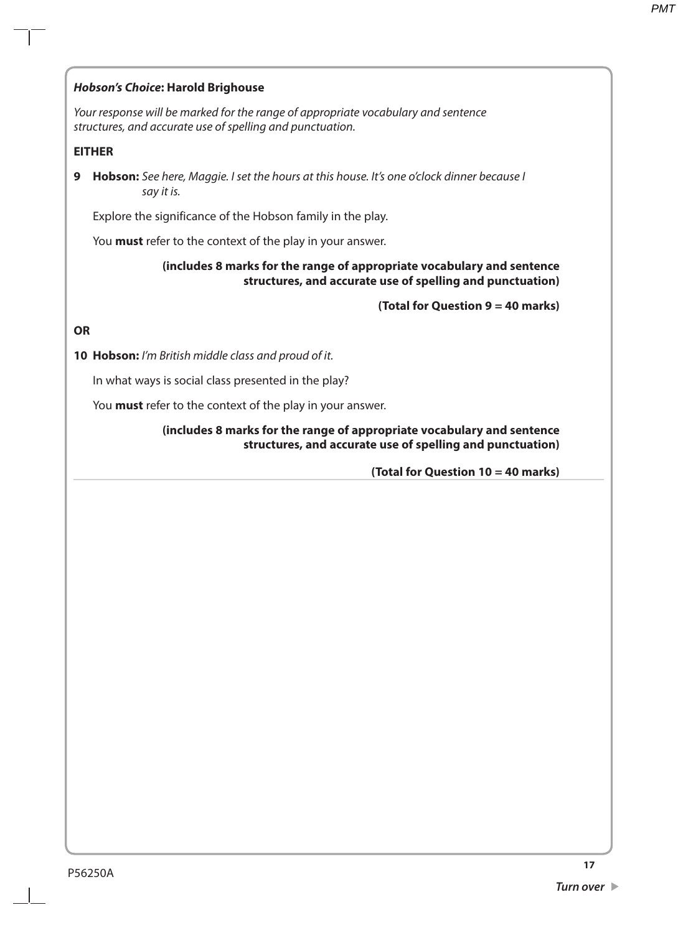## *Hobson's Choice***: Harold Brighouse**

*Your response will be marked for the range of appropriate vocabulary and sentence structures, and accurate use of spelling and punctuation.*

## **EITHER**

**9 Hobson:** *See here, Maggie. I set the hours at this house. It's one o'clock dinner because I say it is.*

Explore the significance of the Hobson family in the play.

You **must** refer to the context of the play in your answer.

## **(includes 8 marks for the range of appropriate vocabulary and sentence structures, and accurate use of spelling and punctuation)**

**(Total for Question 9 = 40 marks)**

## **OR**

**10 Hobson:** *I'm British middle class and proud of it.*

In what ways is social class presented in the play?

You **must** refer to the context of the play in your answer.

### **(includes 8 marks for the range of appropriate vocabulary and sentence structures, and accurate use of spelling and punctuation)**

**(Total for Question 10 = 40 marks)**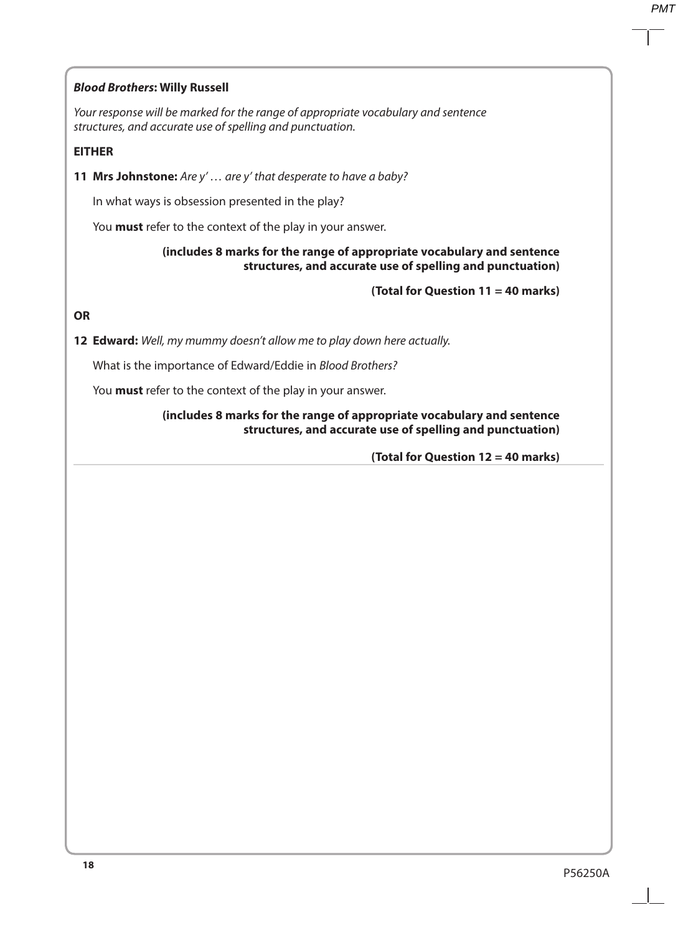## *Blood Brothers***: Willy Russell**

*Your response will be marked for the range of appropriate vocabulary and sentence structures, and accurate use of spelling and punctuation.*

#### **EITHER**

**11 Mrs Johnstone:** *Are y' … are y' that desperate to have a baby?*

In what ways is obsession presented in the play?

You **must** refer to the context of the play in your answer.

#### **(includes 8 marks for the range of appropriate vocabulary and sentence structures, and accurate use of spelling and punctuation)**

**(Total for Question 11 = 40 marks)**

### **OR**

**12 Edward:** *Well, my mummy doesn't allow me to play down here actually.*

What is the importance of Edward/Eddie in *Blood Brothers?*

You **must** refer to the context of the play in your answer.

**(includes 8 marks for the range of appropriate vocabulary and sentence structures, and accurate use of spelling and punctuation)**

**(Total for Question 12 = 40 marks)**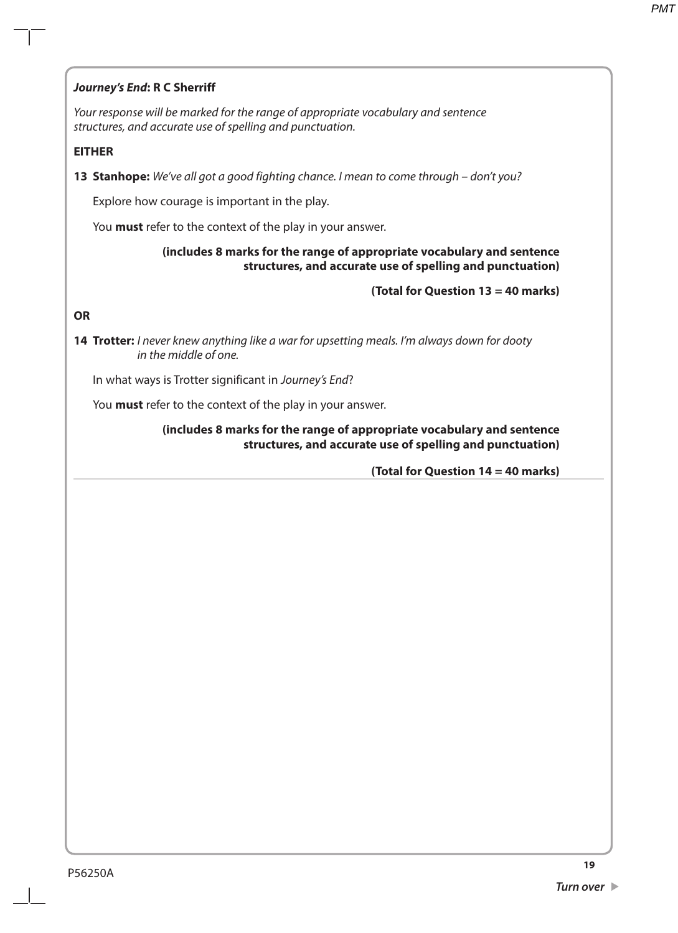## *Journey's End***: R C Sherriff**

*Your response will be marked for the range of appropriate vocabulary and sentence structures, and accurate use of spelling and punctuation.*

## **EITHER**

**13 Stanhope:** *We've all got a good fighting chance. I mean to come through – don't you?*

Explore how courage is important in the play.

You **must** refer to the context of the play in your answer.

## **(includes 8 marks for the range of appropriate vocabulary and sentence structures, and accurate use of spelling and punctuation)**

**(Total for Question 13 = 40 marks)**

## **OR**

**14 Trotter:** *I never knew anything like a war for upsetting meals. I'm always down for dooty in the middle of one.*

In what ways is Trotter significant in *Journey's End*?

You **must** refer to the context of the play in your answer.

### **(includes 8 marks for the range of appropriate vocabulary and sentence structures, and accurate use of spelling and punctuation)**

**(Total for Question 14 = 40 marks)**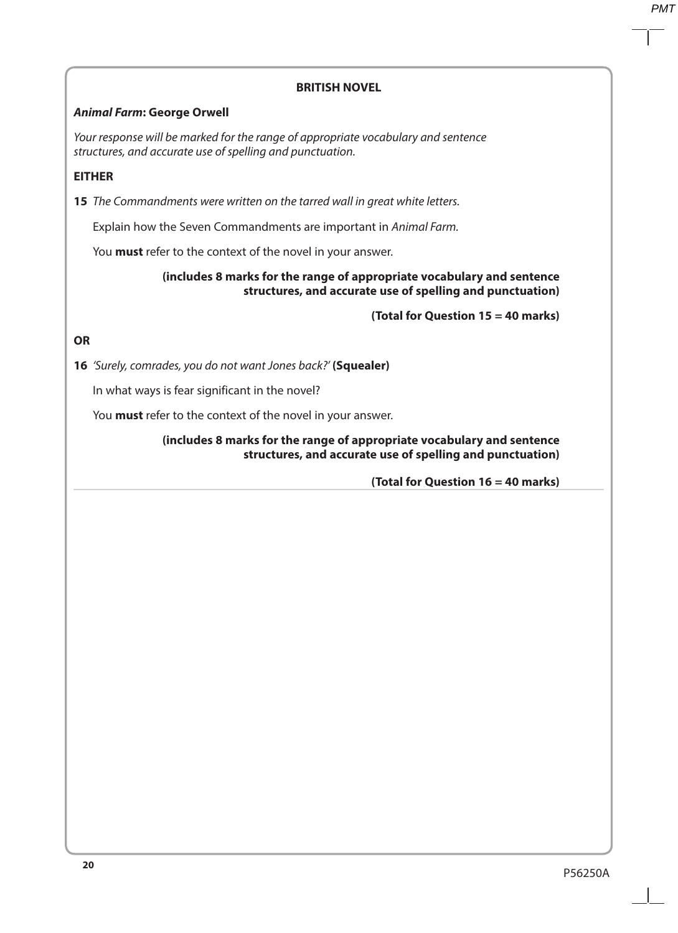### **BRITISH NOVEL**

#### *Animal Farm***: George Orwell**

*Your response will be marked for the range of appropriate vocabulary and sentence structures, and accurate use of spelling and punctuation.*

### **EITHER**

**15** *The Commandments were written on the tarred wall in great white letters.*

Explain how the Seven Commandments are important in *Animal Farm.*

You **must** refer to the context of the novel in your answer.

**(includes 8 marks for the range of appropriate vocabulary and sentence structures, and accurate use of spelling and punctuation)**

**(Total for Question 15 = 40 marks)**

## **OR**

**16** *'Surely, comrades, you do not want Jones back?'* **(Squealer)**

In what ways is fear significant in the novel?

You **must** refer to the context of the novel in your answer.

**(includes 8 marks for the range of appropriate vocabulary and sentence structures, and accurate use of spelling and punctuation)**

**(Total for Question 16 = 40 marks)**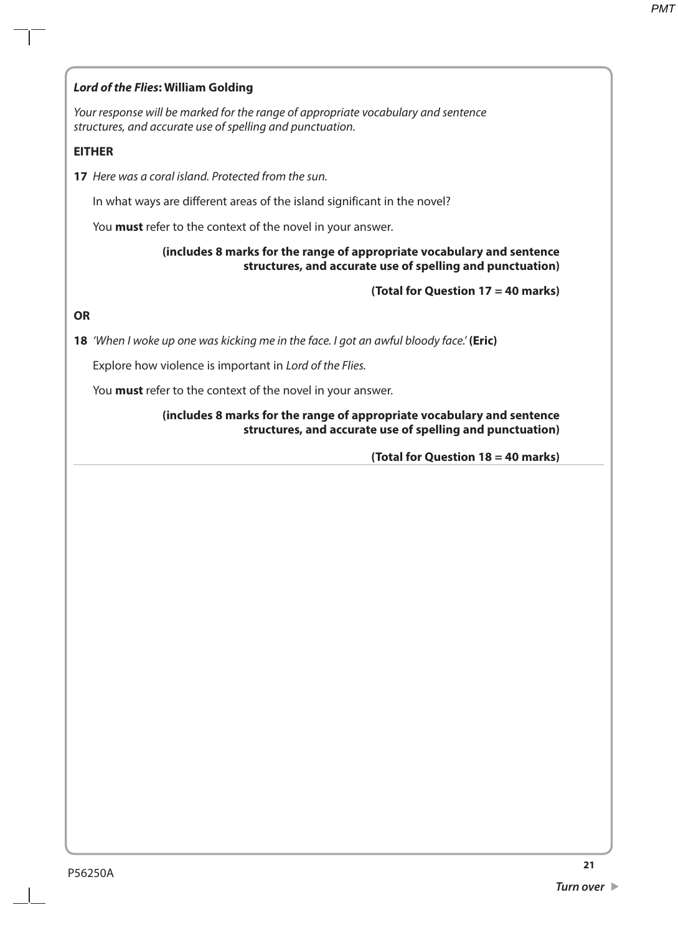## *Lord of the Flies***: William Golding**

*Your response will be marked for the range of appropriate vocabulary and sentence structures, and accurate use of spelling and punctuation.*

## **EITHER**

**17** *Here was a coral island. Protected from the sun.*

In what ways are different areas of the island significant in the novel?

You **must** refer to the context of the novel in your answer*.*

## **(includes 8 marks for the range of appropriate vocabulary and sentence structures, and accurate use of spelling and punctuation)**

**(Total for Question 17 = 40 marks)**

## **OR**

**18** *'When I woke up one was kicking me in the face. I got an awful bloody face.'* **(Eric)**

Explore how violence is important in *Lord of the Flies.*

You **must** refer to the context of the novel in your answer.

## **(includes 8 marks for the range of appropriate vocabulary and sentence structures, and accurate use of spelling and punctuation)**

**(Total for Question 18 = 40 marks)**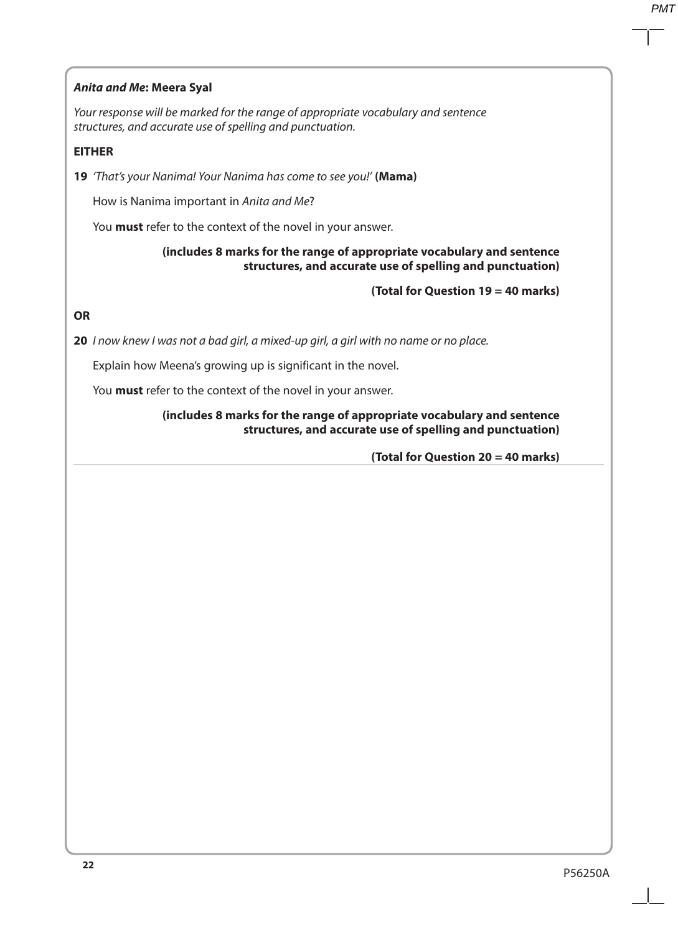### *Anita and Me***: Meera Syal**

*Your response will be marked for the range of appropriate vocabulary and sentence structures, and accurate use of spelling and punctuation.*

#### **EITHER**

**19** *'That's your Nanima! Your Nanima has come to see you!'* **(Mama)**

How is Nanima important in *Anita and Me*?

You **must** refer to the context of the novel in your answer.

#### **(includes 8 marks for the range of appropriate vocabulary and sentence structures, and accurate use of spelling and punctuation)**

**(Total for Question 19 = 40 marks)**

## **OR**

**20** *I now knew I was not a bad girl, a mixed-up girl, a girl with no name or no place.*

Explain how Meena's growing up is significant in the novel.

You **must** refer to the context of the novel in your answer.

#### **(includes 8 marks for the range of appropriate vocabulary and sentence structures, and accurate use of spelling and punctuation)**

**(Total for Question 20 = 40 marks)**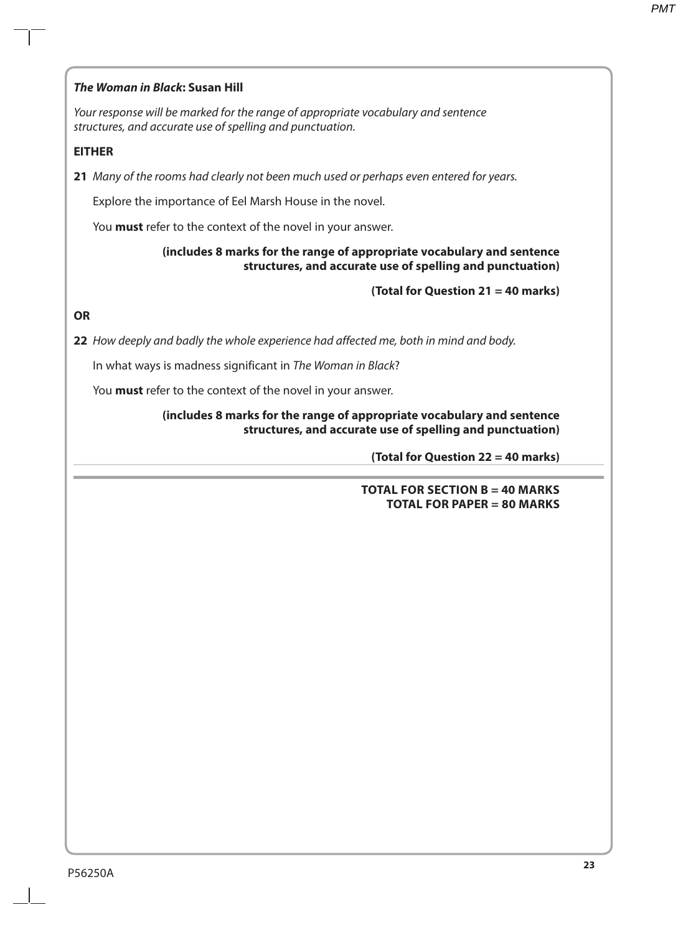## *The Woman in Black***: Susan Hill**

*Your response will be marked for the range of appropriate vocabulary and sentence structures, and accurate use of spelling and punctuation.*

## **EITHER**

**21** *Many of the rooms had clearly not been much used or perhaps even entered for years.* 

Explore the importance of Eel Marsh House in the novel.

You **must** refer to the context of the novel in your answer.

## **(includes 8 marks for the range of appropriate vocabulary and sentence structures, and accurate use of spelling and punctuation)**

**(Total for Question 21 = 40 marks)**

## **OR**

**22** *How deeply and badly the whole experience had affected me, both in mind and body.*

In what ways is madness significant in *The Woman in Black*?

You **must** refer to the context of the novel in your answer.

## **(includes 8 marks for the range of appropriate vocabulary and sentence structures, and accurate use of spelling and punctuation)**

**(Total for Question 22 = 40 marks)**

**TOTAL FOR SECTION B = 40 MARKS TOTAL FOR PAPER = 80 MARKS**